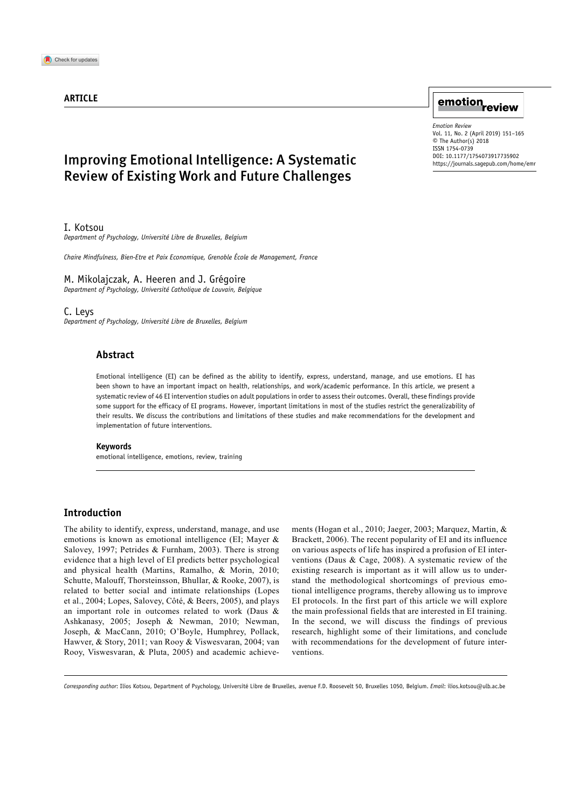## **ARTICLE**

## Improving Emotional Intelligence: A Systematic Review of Existing Work and Future Challenges

I. Kotsou

*Department of Psychology, Université Libre de Bruxelles, Belgium*

*Chaire Mindfulness, Bien-Etre et Paix Economique, Grenoble École de Management, France*

#### M. Mikolajczak, A. Heeren and J. Grégoire

*Department of Psychology, Université Catholique de Louvain, Belgique*

C. Leys

*Department of Psychology, Université Libre de Bruxelles, Belgium*

## **Abstract**

Emotional intelligence (EI) can be defined as the ability to identify, express, understand, manage, and use emotions. EI has been shown to have an important impact on health, relationships, and work/academic performance. In this article, we present a systematic review of 46 EI intervention studies on adult populations in order to assess their outcomes. Overall, these findings provide some support for the efficacy of EI programs. However, important limitations in most of the studies restrict the generalizability of their results. We discuss the contributions and limitations of these studies and make recommendations for the development and implementation of future interventions.

#### **Keywords**

emotional intelligence, emotions, review, training

### **Introduction**

The ability to identify, express, understand, manage, and use emotions is known as emotional intelligence (EI; Mayer & Salovey, 1997; Petrides & Furnham, 2003). There is strong evidence that a high level of EI predicts better psychological and physical health (Martins, Ramalho, & Morin, 2010; Schutte, Malouff, Thorsteinsson, Bhullar, & Rooke, 2007), is related to better social and intimate relationships (Lopes et al., 2004; Lopes, Salovey, Côté, & Beers, 2005), and plays an important role in outcomes related to work (Daus & Ashkanasy, 2005; Joseph & Newman, 2010; Newman, Joseph, & MacCann, 2010; O'Boyle, Humphrey, Pollack, Hawver, & Story, 2011; van Rooy & Viswesvaran, 2004; van Rooy, Viswesvaran, & Pluta, 2005) and academic achievements (Hogan et al., 2010; Jaeger, 2003; Marquez, Martin, & Brackett, 2006). The recent popularity of EI and its influence on various aspects of life has inspired a profusion of EI interventions (Daus & Cage, 2008). A systematic review of the existing research is important as it will allow us to understand the methodological shortcomings of previous emotional intelligence programs, thereby allowing us to improve EI protocols. In the first part of this article we will explore the main professional fields that are interested in EI training. In the second, we will discuss the findings of previous research, highlight some of their limitations, and conclude with recommendations for the development of future interventions.

*Corresponding author*: Ilios Kotsou, Department of Psychology, Université Libre de Bruxelles, avenue F.D. Roosevelt 50, Bruxelles 1050, Belgium. *Email*: [ilios.kotsou@ulb.ac.be](mailto:ilios.kotsou@ulb.ac.be)

# emotion<sub>review</sub>

DOI: 10.1177/1754073917735902 *Emotion Review* Vol. 11, No. 2 (April 2019) 151–165 © The Author(s) 2018 ISSN 1754-0739 https://journals.sagepub.com/home/emr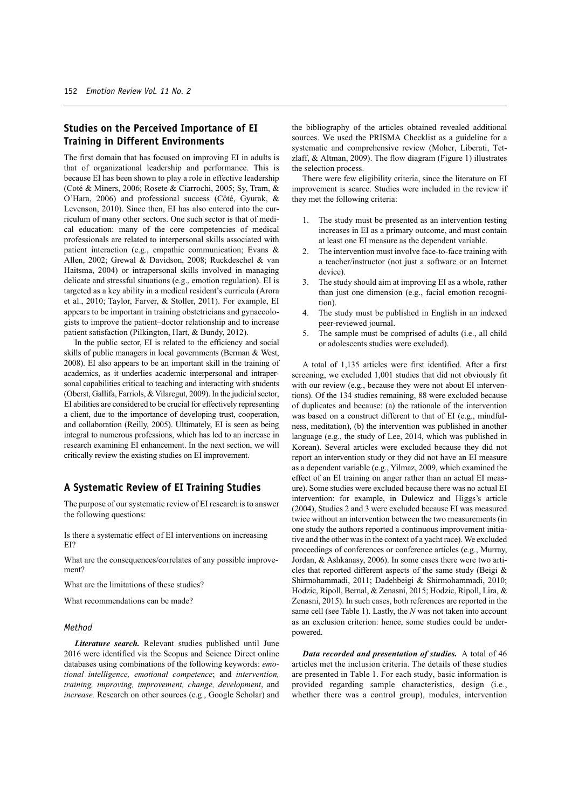## **Studies on the Perceived Importance of EI Training in Different Environments**

The first domain that has focused on improving EI in adults is that of organizational leadership and performance. This is because EI has been shown to play a role in effective leadership (Coté & Miners, 2006; Rosete & Ciarrochi, 2005; Sy, Tram, & O'Hara, 2006) and professional success (Côté, Gyurak, & Levenson, 2010). Since then, EI has also entered into the curriculum of many other sectors. One such sector is that of medical education: many of the core competencies of medical professionals are related to interpersonal skills associated with patient interaction (e.g., empathic communication; Evans & Allen, 2002; Grewal & Davidson, 2008; Ruckdeschel & van Haitsma, 2004) or intrapersonal skills involved in managing delicate and stressful situations (e.g., emotion regulation). EI is targeted as a key ability in a medical resident's curricula (Arora et al., 2010; Taylor, Farver, & Stoller, 2011). For example, EI appears to be important in training obstetricians and gynaecologists to improve the patient–doctor relationship and to increase patient satisfaction (Pilkington, Hart, & Bundy, 2012).

In the public sector, EI is related to the efficiency and social skills of public managers in local governments (Berman & West, 2008). EI also appears to be an important skill in the training of academics, as it underlies academic interpersonal and intrapersonal capabilities critical to teaching and interacting with students (Oberst, Gallifa, Farriols, & Vilaregut, 2009). In the judicial sector, EI abilities are considered to be crucial for effectively representing a client, due to the importance of developing trust, cooperation, and collaboration (Reilly, 2005). Ultimately, EI is seen as being integral to numerous professions, which has led to an increase in research examining EI enhancement. In the next section, we will critically review the existing studies on EI improvement.

## **A Systematic Review of EI Training Studies**

The purpose of our systematic review of EI research is to answer the following questions:

Is there a systematic effect of EI interventions on increasing EI?

What are the consequences/correlates of any possible improvement?

What are the limitations of these studies?

What recommendations can be made?

#### *Method*

*Literature search.* Relevant studies published until June 2016 were identified via the Scopus and Science Direct online databases using combinations of the following keywords: *emotional intelligence, emotional competence*; and *intervention, training, improving, improvement, change, development*, and *increase.* Research on other sources (e.g., Google Scholar) and the bibliography of the articles obtained revealed additional sources. We used the PRISMA Checklist as a guideline for a systematic and comprehensive review (Moher, Liberati, Tetzlaff, & Altman, 2009). The flow diagram (Figure 1) illustrates the selection process.

There were few eligibility criteria, since the literature on EI improvement is scarce. Studies were included in the review if they met the following criteria:

- The study must be presented as an intervention testing increases in EI as a primary outcome, and must contain at least one EI measure as the dependent variable.
- 2. The intervention must involve face-to-face training with a teacher/instructor (not just a software or an Internet device).
- 3. The study should aim at improving EI as a whole, rather than just one dimension (e.g., facial emotion recognition).
- 4. The study must be published in English in an indexed peer-reviewed journal.
- 5. The sample must be comprised of adults (i.e., all child or adolescents studies were excluded).

A total of 1,135 articles were first identified. After a first screening, we excluded 1,001 studies that did not obviously fit with our review (e.g., because they were not about EI interventions). Of the 134 studies remaining, 88 were excluded because of duplicates and because: (a) the rationale of the intervention was based on a construct different to that of EI (e.g., mindfulness, meditation), (b) the intervention was published in another language (e.g., the study of Lee, 2014, which was published in Korean). Several articles were excluded because they did not report an intervention study or they did not have an EI measure as a dependent variable (e.g., Yilmaz, 2009, which examined the effect of an EI training on anger rather than an actual EI measure). Some studies were excluded because there was no actual EI intervention: for example, in Dulewicz and Higgs's article (2004), Studies 2 and 3 were excluded because EI was measured twice without an intervention between the two measurements (in one study the authors reported a continuous improvement initiative and the other was in the context of a yacht race). We excluded proceedings of conferences or conference articles (e.g., Murray, Jordan, & Ashkanasy, 2006). In some cases there were two articles that reported different aspects of the same study (Beigi & Shirmohammadi, 2011; Dadehbeigi & Shirmohammadi, 2010; Hodzic, Ripoll, Bernal, & Zenasni, 2015; Hodzic, Ripoll, Lira, & Zenasni, 2015). In such cases, both references are reported in the same cell (see Table 1). Lastly, the *N* was not taken into account as an exclusion criterion: hence, some studies could be underpowered.

*Data recorded and presentation of studies.* A total of 46 articles met the inclusion criteria. The details of these studies are presented in Table 1. For each study, basic information is provided regarding sample characteristics, design (i.e., whether there was a control group), modules, intervention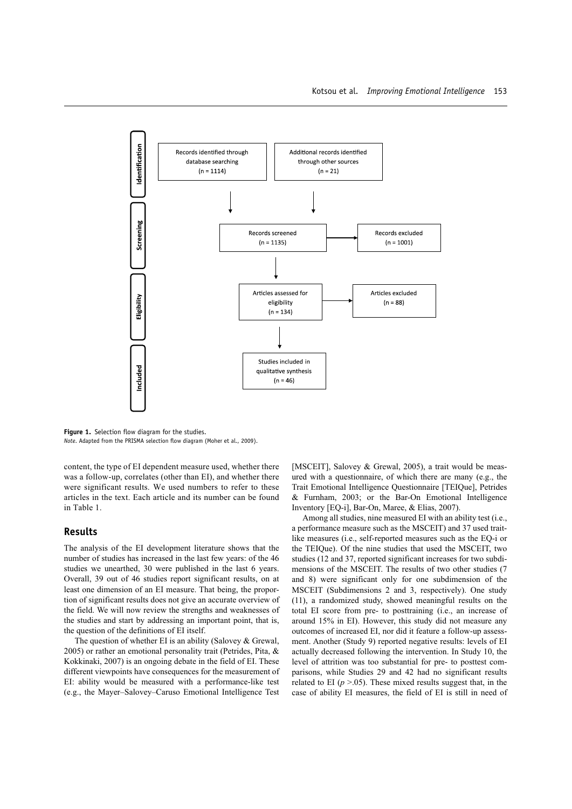

**Figure 1.** Selection flow diagram for the studies. *Note*. Adapted from the PRISMA selection flow diagram (Moher et al., 2009).

content, the type of EI dependent measure used, whether there was a follow-up, correlates (other than EI), and whether there were significant results. We used numbers to refer to these articles in the text. Each article and its number can be found in Table 1.

#### **Results**

The analysis of the EI development literature shows that the number of studies has increased in the last few years: of the 46 studies we unearthed, 30 were published in the last 6 years. Overall, 39 out of 46 studies report significant results, on at least one dimension of an EI measure. That being, the proportion of significant results does not give an accurate overview of the field. We will now review the strengths and weaknesses of the studies and start by addressing an important point, that is, the question of the definitions of EI itself.

The question of whether EI is an ability (Salovey & Grewal, 2005) or rather an emotional personality trait (Petrides, Pita, & Kokkinaki, 2007) is an ongoing debate in the field of EI. These different viewpoints have consequences for the measurement of EI: ability would be measured with a performance-like test (e.g., the Mayer–Salovey–Caruso Emotional Intelligence Test

[MSCEIT], Salovey & Grewal, 2005), a trait would be measured with a questionnaire, of which there are many (e.g., the Trait Emotional Intelligence Questionnaire [TEIQue], Petrides & Furnham, 2003; or the Bar-On Emotional Intelligence Inventory [EQ-i], Bar-On, Maree, & Elias, 2007).

Among all studies, nine measured EI with an ability test (i.e., a performance measure such as the MSCEIT) and 37 used traitlike measures (i.e., self-reported measures such as the EQ-i or the TEIQue). Of the nine studies that used the MSCEIT, two studies (12 and 37, reported significant increases for two subdimensions of the MSCEIT. The results of two other studies (7 and 8) were significant only for one subdimension of the MSCEIT (Subdimensions 2 and 3, respectively). One study (11), a randomized study, showed meaningful results on the total EI score from pre- to posttraining (i.e., an increase of around 15% in EI). However, this study did not measure any outcomes of increased EI, nor did it feature a follow-up assessment. Another (Study 9) reported negative results: levels of EI actually decreased following the intervention. In Study 10, the level of attrition was too substantial for pre- to posttest comparisons, while Studies 29 and 42 had no significant results related to EI  $(p > 0.05)$ . These mixed results suggest that, in the case of ability EI measures, the field of EI is still in need of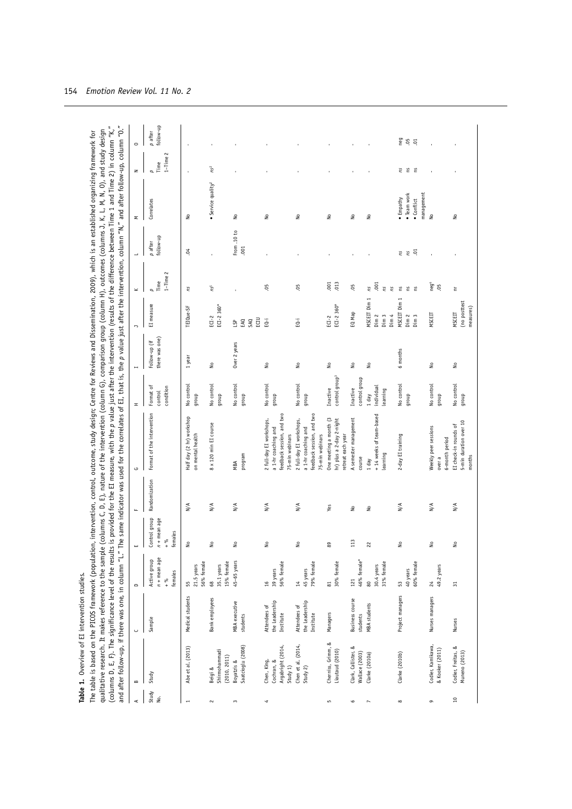| $\prec$                  | $\bf{m}$                                                   | $\smash{\cup}$                              | $\qquad \qquad \Box$                                | ш                                                            | щ                            | ت                                                                                               | Ŧ                                      | $\overline{a}$                 | $\overline{\phantom{0}}$                                        | $\!\! \simeq$                            | $\overline{\phantom{0}}$   | Σ                                                    | z                           | $\circ$                |
|--------------------------|------------------------------------------------------------|---------------------------------------------|-----------------------------------------------------|--------------------------------------------------------------|------------------------------|-------------------------------------------------------------------------------------------------|----------------------------------------|--------------------------------|-----------------------------------------------------------------|------------------------------------------|----------------------------|------------------------------------------------------|-----------------------------|------------------------|
| Study<br>ė.              | Study                                                      | Sample                                      | $n +$ mean age<br>Active group<br>females<br>$+ 96$ | Control group<br>$n +$ mean age<br>females<br>$+\frac{9}{6}$ | Randomization                | Format of the intervention                                                                      | Format of<br>condition<br>control      | there was one<br>Follow-up (if | EI measure                                                      | $1 -$ Time $2$<br>Time<br>$\overline{a}$ | follow-up<br>$p$ after     | Correlates                                           | $1 -$ Time $2$<br>p<br>Time | follow-up<br>$p$ after |
| $\overline{\phantom{a}}$ | Abe et al. (2013)                                          | Medical students                            | 56% female<br>21.5 years<br>$55\,$                  | £                                                            | $_{N/A}$                     | Half day (2 hr) workshop<br>on mental health                                                    | No control<br>dnoub                    | 1 year                         | TEIQue-SF                                                       | ΓS                                       | ð.                         | 2                                                    |                             |                        |
| $\sim$                   | Shirmohammadi<br>(2010, 2011)<br>Beigi &                   | <b>Bank</b> employees                       | 15% female<br>35.1 years<br>$^{\rm 8}$              | ₽                                                            | $\frac{4}{\pi}$              | 8 x 120 min EI course                                                                           | No control<br>qnoup                    | ş                              | ECI-2 360°<br>ECI-2                                             | nS <sup>1</sup>                          |                            | · Service quality <sup>2</sup>                       | $ns^2$                      |                        |
| $\,$                     | Saatcioglu (2008)<br>Boyatzis &                            | <b>MBA</b> executive<br>students            | 45-65 years                                         | ş                                                            | N/A                          | program<br>MBA                                                                                  | No control<br>dnoub                    | Over 2 years                   | ECTU<br>EAQ<br>SAQ<br>JΣΡ                                       |                                          | From .10 to<br>.001        | 2                                                    |                             |                        |
| A                        | Argabright (2014,<br>Chen, King,<br>Cochran, &<br>Study 1) | the Leadership<br>Attendees of<br>Institute | 56% female<br>39 years<br>$\frac{6}{2}$             | ₽                                                            | N/A                          | feedback session, and two<br>2 full-day EI workshops,<br>a 1-hr coaching and<br>75-min webinars | No control<br>dnouß                    | ş                              | EQ-i                                                            | క                                        |                            | ş                                                    |                             |                        |
|                          | Chen et al. (2014,<br>Study 2)                             | the Leadership<br>Attendees of<br>Institute | 79% female<br>45 years<br>$\sharp$                  | ş                                                            | $_{N/A}$                     | feedback session, and two<br>2 full-day EI workshops,<br>a 1-hr coaching and<br>75-min webinars | No control<br>quorp                    | ş                              | ΞĠ                                                              | క                                        |                            | ş                                                    |                             |                        |
| LO <sub>1</sub>          | ∞<br>Cherniss, Grimm,<br>Liautaud (2010)                   | Managers                                    | 30% female<br>$\overline{\textrm{so}}$              | 8                                                            | Yes                          | One meeting a month (3<br>hr) plus a 2-day 2-night<br>retreat each year                         | control group <sup>3</sup><br>Inactive | ş                              | ECI-2 360°<br>ECI-2                                             | .013<br>.001                             |                            | 2                                                    |                             |                        |
| G                        | Clark, Callister, &<br>Wallace (2003)                      | <b>Business</b> course<br>students          | 46% female*<br>121                                  | 113                                                          | $\epsilon$                   | A semester management<br>course                                                                 | control group<br>Inactive              | ş                              | EQ Map                                                          | 8                                        |                            | ş                                                    |                             |                        |
| $\overline{ }$           | Clarke (2010a)                                             | <b>MBA</b> students                         | 31% female<br>30.4 years<br>$\rm{80}$               | $\overline{c}$                                               | $\frac{1}{2}$                | +14 weeks of team-based<br>earning<br>1 day                                                     | individual<br>learning<br>1 day        | ş                              | MSCEIT Dim 1<br>Dim <sub>2</sub><br>Dim <sub>3</sub><br>Dim $4$ | .001<br>rs<br>ΓIJ<br>ns                  |                            | ş                                                    |                             |                        |
| $\infty$                 | Clarke (2010b)                                             | Project managers                            | 60% female<br>40 years<br>S3                        | ş                                                            | $_{\mathsf{N}}^{\mathsf{A}}$ | 2-day EI training                                                                               | No control<br>dhoub                    | 6 months                       | MSCEIT Dim 1<br>Dim <sub>2</sub><br>Dim <sub>3</sub>            | ΓŚ<br>Ě<br>5u                            | $\overline{5}$<br>ns<br>ns | management<br>• Team work<br>· Empathy<br>• Conflict | e e e                       | peg<br>eg<br>eg<br>eg  |
| G                        | Codier, Kamikawa,<br>& Kooker (2011)                       | Nurses managers                             | 49.2 years<br>$\approx$                             | ₽                                                            | $_{\mathsf{N}/\mathsf{A}}$   | Weekly peer sessions<br>6-month period<br>over a                                                | No control<br>dnoub                    | ş                              | <b>MSCETT</b>                                                   | neg <sup>4</sup><br>Ğ.                   |                            | $\tilde{z}$                                          |                             |                        |
| $\overline{a}$           | Codier, Freitas, &<br>Muneno (2013)                        | <b>Nurses</b>                               | 21                                                  | ş                                                            | $_{\mathsf{N}}^{\mathsf{A}}$ | 5-min duration over 10<br>EI check-in rounds of<br>months                                       | No control<br>dnoub                    | ş                              | (no posttest<br>measures)<br>MSCEIT                             | Ĕ                                        |                            | ş                                                    |                             |                        |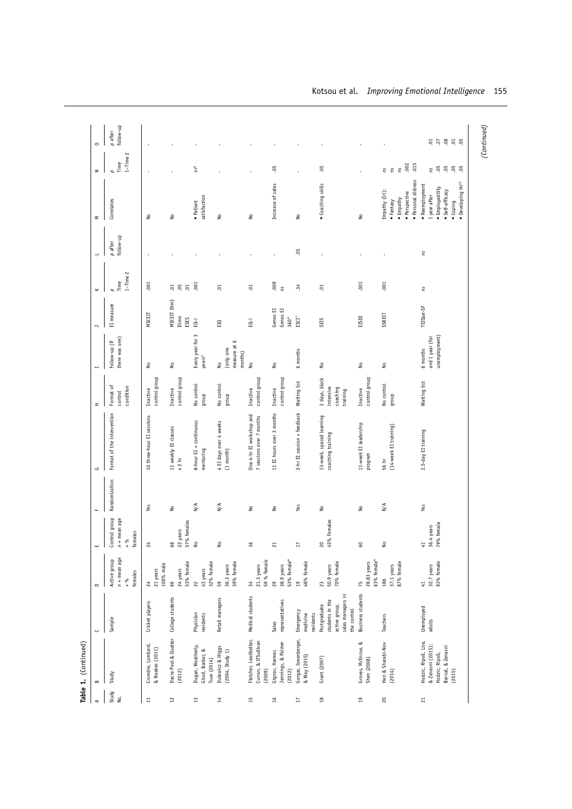| 4               | $\bf{m}$                                                                                    | ں                                                                                    | $\sim$                                              | ш                                                              | Щ                          | G                                                    | H                                                  |                                              | $\overline{\phantom{a}}$              | ⊻                          |                      | Σ                                                                                                             | z                                      | $\circ$                |
|-----------------|---------------------------------------------------------------------------------------------|--------------------------------------------------------------------------------------|-----------------------------------------------------|----------------------------------------------------------------|----------------------------|------------------------------------------------------|----------------------------------------------------|----------------------------------------------|---------------------------------------|----------------------------|----------------------|---------------------------------------------------------------------------------------------------------------|----------------------------------------|------------------------|
| Study<br>Ńо.    | Study                                                                                       | Sample                                                                               | $n +$ mean age<br>Active group<br>females<br>$+ 96$ | Control group<br>$n +$ mean age<br>females<br>$+\frac{96}{10}$ | Randomization              | Format of the intervention                           | condition<br>Format of<br>control                  | there was one)<br>Follow-up (if              | EI measure                            | $1$ -Time $2$<br>Time<br>p | follow-up<br>p after | Correlates                                                                                                    | $1 -$ Time $2$<br>Time<br>$\mathbf{a}$ | follow-up<br>$p$ after |
| $\Xi$           | Crombie, Lombard,<br>& Noakes (2011)                                                        | Cricket players                                                                      | 100% male<br>21 years<br>$^{24}$                    | $\approx$                                                      | Yes                        | 10 three-hour EI sessions                            | control group<br>Inactive                          | ş                                            | <b>MSCEIT</b>                         | .001                       |                      | $\frac{1}{2}$                                                                                                 |                                        |                        |
| $\overline{12}$ | Dacre Pool & Qualter<br>(2012)                                                              | College students                                                                     | 53% female<br>24 years<br>66                        | % females<br>22 years<br>8<br>57                               | ş                          | 11 weekly EI classes<br>$\times 2$ hr                | control group<br>Inactive                          | ş                                            | MSCEIT Dim3<br>Dim4<br>ESES           | 5 g<br>5.                  |                      | ş                                                                                                             |                                        |                        |
| 13              | Dugan, Weatherly,<br>Girod, Barber, &<br>Tsue (2014)                                        | Physician<br>residents                                                               | 32% female<br>43 years<br>$\approx$                 | ž                                                              | $_{\mathsf{N}/\mathsf{A}}$ | 8-hour EI + continuous<br>mentoring                  | No control<br>dnoub                                | Every year for 3<br>years <sup>5</sup>       | EQ-i                                  | .001                       |                      | satisfaction<br>· Patient                                                                                     | ρ                                      |                        |
| $\sharp$        | Dulewicz & Higgs<br>(2004, Study 1)                                                         | Retail managers                                                                      | 39% female<br>36.3 years<br>59                      | ₹                                                              | $_{\mathsf{N}/\mathsf{A}}$ | 4 EI days over 4 weeks<br>$(1 \text{ month})$        | No control<br>dhoub                                | measure at 6<br>(only one<br>months)<br>ş    | $\Xi$                                 | ຣຸ                         |                      | $\stackrel{\mathtt{o}}{\mathsf{z}}$                                                                           |                                        |                        |
| 15              | Fletcher, Leadbetter,<br>Curran, & O'Sullivan<br>(2009)                                     | Medical students                                                                     | 59 % female<br>21.3 years<br>$34\,$                 | శ                                                              | $\stackrel{\circ}{\simeq}$ | One 4-hr EI workshop and<br>7 sessions over 7 months | control group<br>Inactive                          | å                                            | EQ-i                                  | ຣຸ                         |                      | $\frac{1}{2}$                                                                                                 |                                        |                        |
| 16              | Jennings, & Palmer<br>Gignac, Harmer,<br>(2012)                                             | representatives<br>Sales                                                             | 53% female*<br>38.9 years<br>29                     | ដ                                                              | $\tilde{z}$                | 11 EI hours over 3 months                            | control group<br>Inactive                          | ş                                            | Genos EI<br>Genos EI<br>$360^{\circ}$ | $\frac{50}{10}$            |                      | Increase of sales                                                                                             | .05                                    |                        |
| Ħ               | Gorgas, Greenberger,<br>& Way (2015)                                                        | Emergency<br>medicine<br>residents                                                   | 48% female<br>$\overline{a}$                        | F                                                              | Yes                        | 2-hr EI session + feedback                           | Waiting list                                       | 6 months                                     | $\mathbb{E}\mathbb{S}\mathbb{C}^7$    | $\ddot{ }$                 | -95                  | $\epsilon$                                                                                                    |                                        |                        |
| $^{18}$         | Grant (2007)                                                                                | sales managers in<br>students in the<br>Postgraduate<br>active group,<br>the control | 70% female<br>50.9 years<br>23                      | 20<br>45% Females                                              | $\frac{1}{2}$              | 13-week, spaced learning<br>coaching training        | 2 days, block<br>intensive<br>coaching<br>training | ₽                                            | SEIS                                  | S.                         | $\blacksquare$       | · Coaching skills                                                                                             | .05                                    |                        |
| $\overline{a}$  | Groves, McEnrue, &<br>Shen (2008)                                                           | <b>Business students</b>                                                             | 63% female*<br>28.83 years<br>75                    | S                                                              | $\stackrel{\circ}{\simeq}$ | 11-week EI leadership<br>program                     | control group<br>Inactive                          | ş                                            | EISDI                                 | .001                       |                      | å                                                                                                             |                                        |                        |
| $\rm ^{20}$     | Hen & Sharabi-Nov<br>(2014)                                                                 | Teachers                                                                             | 87% female<br>37.1 years<br>186                     | ş                                                              | $_{\mathsf{N}/\mathsf{A}}$ | $(14$ -week EI training)<br>56 hr                    | No control<br>dnoub                                | ş                                            | SSREIT                                | .001                       | $\blacksquare$       | · Personal distress<br>Empathy (Iri):<br>· Perspective<br>$\bullet$ Empathy<br>• Fantasy                      | .002<br>015<br>Έ<br>Έ<br>Σu            |                        |
| $\overline{c}$  | Hodzic, Ripoll, Lira,<br>& Zenasni (2015);<br>Bemal, & Zenasni<br>Hodzic, Ripoll,<br>(2015) | Unemployed<br>adults                                                                 | 93% female<br>32.7 years<br>41                      | 41<br>36.4 years<br>79% female                                 | Yes                        | 2.5-day EI training                                  | Waiting list                                       | unemployment)<br>and 1 year (for<br>6 months | TETQue-SF                             | ns                         | ns                   | • Developing Hr23<br>• Reemployment<br>· Employability<br>· Self-efficacy<br>1 year after<br>$\bullet$ Coping | .05<br>.05<br>0500<br>Σu               |                        |

Kotsou et al. *Improving Emotional Intelligence* 155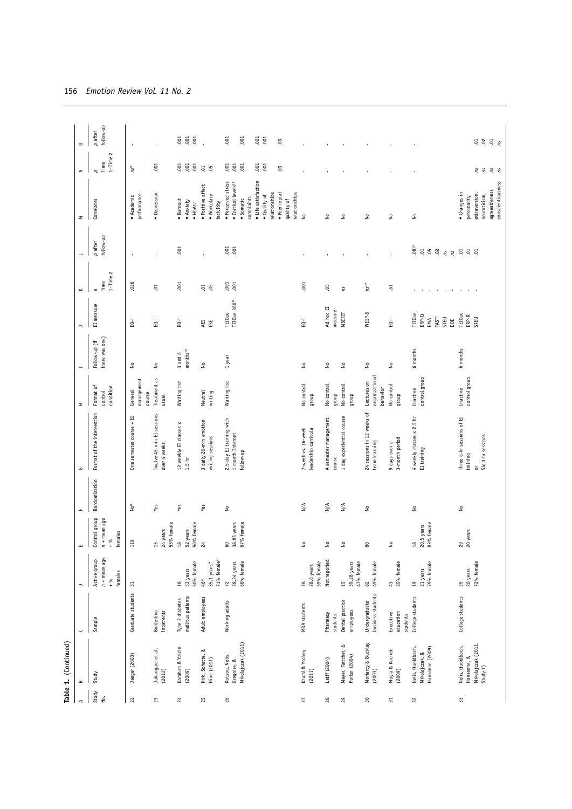|                 | Table 1. (Continued)                                                  |                                                 |                                                     |                                                            |                                                                           |                                                                 |                                                    |                                     |                                                             |                                     |                                             |                                                                                                              |                                                    |                        |
|-----------------|-----------------------------------------------------------------------|-------------------------------------------------|-----------------------------------------------------|------------------------------------------------------------|---------------------------------------------------------------------------|-----------------------------------------------------------------|----------------------------------------------------|-------------------------------------|-------------------------------------------------------------|-------------------------------------|---------------------------------------------|--------------------------------------------------------------------------------------------------------------|----------------------------------------------------|------------------------|
| $\prec$         | $\,$ $\,$                                                             | ں                                               | $\mathbf{\Omega}$                                   | ш                                                          | $\mathbf{u}$                                                              | G                                                               | <b>H</b>                                           |                                     | $\overline{ }$                                              | $\geq$                              |                                             | Σ                                                                                                            | z                                                  | $\circ$                |
| Study<br>ιė.    | Study                                                                 | Sample                                          | $n +$ mean age<br>Active group<br>females<br>$+ 96$ | Control group<br>+ mean age<br>females<br>$\delta_{\rm 0}$ | Randomization                                                             | Format of the intervention                                      | Format of<br>condition<br>control                  | there was one)<br>Follow-up (if     | EI measure                                                  | $1 - Time$ $2$<br>Time<br>p         | follow-up<br>$p$ after                      | Correlates                                                                                                   | $1 -$ Time $2$<br>Time<br>$\overline{\phantom{a}}$ | follow-up<br>$p$ after |
| 22              | Jaeger (2003)                                                         | Graduate students                               | $\Xi$                                               | 119                                                        | $\mathbb{N}^8$                                                            | One semester course + EI                                        | management<br>General<br>course                    | ş                                   | EQ-i                                                        | .026                                | $\overline{\phantom{a}}$                    | performance<br>• Academic                                                                                    | ns <sub>3</sub>                                    |                        |
| 23              | Jahangard et al.<br>(2012)                                            | inpatients<br><b>Borderline</b>                 |                                                     | 53% female<br>24 years<br>15                               | Yes                                                                       | Twelve 45-min EI sessions<br>over 4 weeks                       | Treatment as<br>usual                              | ş                                   | EQ-i                                                        | ຣ຺                                  |                                             | · Depression                                                                                                 | .001                                               |                        |
| $\frac{24}{5}$  | Karahan & Yalcin<br>(2009)                                            | mellitus patients<br>Type 2 diabetes            | 50% female<br>53 years<br>$^{28}$                   | 50% female<br>52 years<br>$^{28}$                          | Yes                                                                       | 12 weekly EI classes x<br>1.5 <sub>hr</sub>                     | Waiting list                                       | months <sup>10</sup><br>$3$ and $6$ | ΕQ-i                                                        | .001                                | .001                                        | Burnout<br>· Anxiety<br>$\bullet$ HbA1c                                                                      | .001                                               | .001<br>.001<br>.001   |
| 25              | Kirk, Schutte, &<br>Hine (2011)                                       | Adult employees                                 | 71% female*<br>35,1 years*<br>$46*$                 | $\frac{24}{5}$                                             | Yes                                                                       | 3 daily 20-min emotion<br>writing sessions                      | Neutral<br>writing                                 | ş                                   | AES<br>ESE                                                  | 5.5                                 |                                             | · Positive affect<br>• Workplace<br>incivility                                                               | $\overline{5}$<br>-9                               |                        |
| 26              | Mikolajczak (2011)<br>Kotsou, Nelis,<br>Gregoire, &                   | Working adults                                  | 38.24 years<br>68% female<br>$\overline{z}$         | 38.85 years<br>67% female<br>$\mathbb S$                   | $\stackrel{\circ}{\simeq}$                                                | 2.5-day EI training with<br>1 month Internet<br>follow-up       | Waiting list                                       | 1 year                              | TEIQue 360°<br>TEIQue                                       | .001<br>.001                        | 001<br>.001                                 | · Perceived stress<br>• Cortisol levels <sup>11</sup><br>complaints<br>· Somatic                             | .001                                               | .001<br>.001           |
|                 |                                                                       |                                                 |                                                     |                                                            |                                                                           |                                                                 |                                                    |                                     |                                                             |                                     |                                             | · Life satisfaction<br>• Peer report<br>relationships<br>relationships<br>$\bullet$ Quality of<br>quality of | .001<br>.001<br>$\mathbb{S}^0$                     | $.001$<br>$001$<br>co. |
| 27              | Kruml & Yockey<br>(2011)                                              | <b>MBA</b> students                             | 59% female<br>28.6 years<br>78                      | ş                                                          | $\mathbb{N}/\mathbb{A}$                                                   | 7-week vs. 16-week<br>leadership curricula                      | No control<br>qnoup                                | $\hat{\mathsf z}$                   | EQ-i                                                        | .001                                |                                             | $\tilde{z}$                                                                                                  |                                                    |                        |
| $28$<br>$_{29}$ | Meyer, Fletcher, &<br>Parker (2004)<br>Latif (2004)                   | Dental practice<br>Pharmacy<br>students         | Not reported<br>15                                  | ş<br>ş                                                     | $\stackrel{\textstyle <}{\scriptstyle \times}$<br>$\mathbb{N}/\mathbb{A}$ | 1 day experiential course<br>A semester management<br>course    | No control<br>No control<br>dnoub                  | ş<br>٤                              | Ad hoc EI<br>measure<br>MSCEIT                              | ë,<br>ns                            |                                             | ş<br>$\tilde{z}$                                                                                             |                                                    |                        |
| $30\,$          | Moriarty & Buckley<br>(2003)                                          | business students<br>Undergraduate<br>employees | 49% female<br>47% female<br>39.28 years<br>$82$     | 80                                                         | $\frac{1}{2}$                                                             | 24 sessions in 12 weeks of<br>team learning                     | organizational<br>Lectures on<br>behavior<br>quorp | ş                                   | WEIP-5                                                      | $ns^{12}$                           |                                             | $\tilde{z}$                                                                                                  |                                                    |                        |
| $\Xi$           | Muyia & Kacirek<br>(2009)                                             | education<br>Executive<br>students              | 43<br>35% female                                    | ş                                                          |                                                                           | 3-month period<br>9 days over a                                 | No control<br>dnoub                                | ş                                   | EQ-i                                                        | $\ddot{5}$                          |                                             | $\frac{1}{2}$                                                                                                |                                                    |                        |
| $32\,$          | Nelis, Quoidbach,<br>Hansenne (2009)<br>Mikolajczak, &                | College students                                | 79% female<br>21 years<br>$\Xi$                     | 83% female<br>18<br>20.5 years                             | $\stackrel{\mathtt{o}}{\mathsf{z}}$                                       | 4 weekly classes x 2.5 hr<br>EI training                        | control group<br>Inactive                          | 6 months                            | TEIQue<br>ERP-Q<br>$\mathbb{M}S^{20}$<br>STEU<br>EMA<br>DOE | the contract of the contract of the | $.08^{13}$<br>$\Xi$<br>05<br>02<br>ns<br>ns | $\stackrel{\mathtt{o}}{\mathsf{z}}$                                                                          |                                                    |                        |
| $33\,$          | Mikolajczak (2011,<br>Nelis, Quoidbach,<br>Hansenne, &<br>Study $1$ ) | College students                                | 72% female<br>20 years<br>$_{29}$                   | 29<br>20 years                                             | $\stackrel{\mathtt{o}}{\mathtt{g}}$                                       | Three 6-hr sessions of EI<br>Six 3-hr sessions<br>training<br>ð | control group<br>Inactive                          | 6 months                            | TEIQue<br>${\sf ERP-R}$<br>STEU                             |                                     | $\Xi$<br>$\overline{0}$ . $\overline{0}$    | conscientiousness<br>agreeableness,<br>• Changes in<br>extraversion,<br>neuroticism,<br>personality:         | ns<br>ns<br>ns<br>ns                               | 5852                   |

|  | 156 Emotion Review Vol. 11 No. 2 |  |  |  |  |  |
|--|----------------------------------|--|--|--|--|--|
|--|----------------------------------|--|--|--|--|--|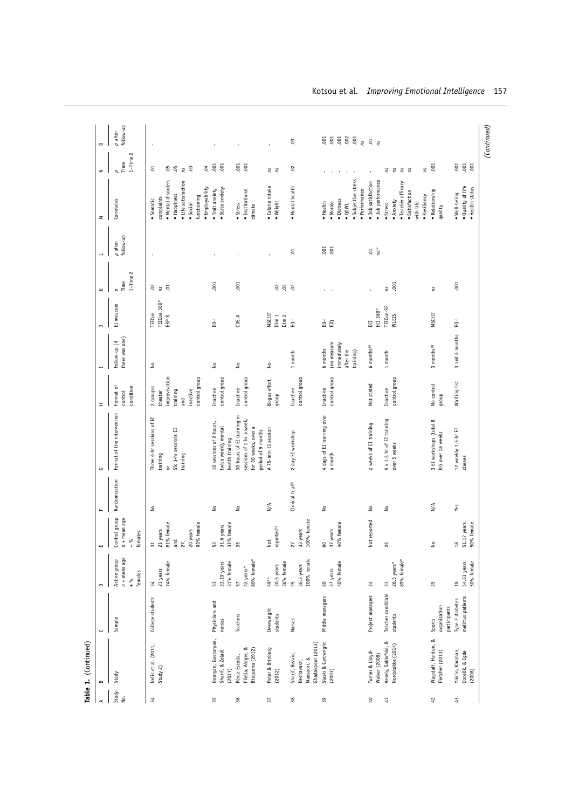|                                        | $\qquad \qquad \Box$                                | ш<br>$\mathbf{I}$                                                                     | $\mathbf{u}$                        | G                                                                                                    | H                                                                                     | $\overline{a}$                                                   | $\Box$                                         | $\!\boldsymbol{\times}$        | ÷                     | Σ                                                                                                                                 | $\geq$                                                           | $\circ$                                            |
|----------------------------------------|-----------------------------------------------------|---------------------------------------------------------------------------------------|-------------------------------------|------------------------------------------------------------------------------------------------------|---------------------------------------------------------------------------------------|------------------------------------------------------------------|------------------------------------------------|--------------------------------|-----------------------|-----------------------------------------------------------------------------------------------------------------------------------|------------------------------------------------------------------|----------------------------------------------------|
| Sample                                 | $n +$ mean age<br>Active group<br>females<br>$+ 96$ | Control group<br>$n +$ mean age<br>females<br>$+ 90$                                  | Randomization                       | Format of the intervention                                                                           | condition<br>Format of<br>control                                                     | there was one)<br>Follow-up (if                                  | EI measure                                     | $1 -$ Time $2$<br>Time<br>p    | follow-up<br>p after  | Correlates                                                                                                                        | $1 -$ Time $2$<br>Time<br>$\overline{a}$                         | follow-up<br>$p$ after                             |
| College students                       | 74% female<br>21 years<br>34                        | 81% female<br>27,<br>20 years<br>93% female<br>$\frac{31}{21}$ years<br>$_{\rm{and}}$ | $\stackrel{\circ}{\simeq}$          | Three 6-hr sessions of EI<br>Six 3-hr sessions EI<br>training<br>training<br>ă                       | control group<br>improvisation<br>2 groups:<br>inactive<br>training<br>theater<br>and | ٤                                                                | TEIQue 360°<br>ERP-R<br>TEIQue                 | $\frac{3}{5}$ , $\frac{5}{5}$  |                       | · Mental disorders<br>• Life satisfaction<br>· Employability<br>· Happiness<br>functioning<br>complaints<br>· Somatic<br>· Social | $\ddot{\circ}$<br>05<br>$\ddot{0}$<br>$\overline{0}$<br>-9<br>Su |                                                    |
| Physicians and<br>nurses               | 33.19 years<br>31% female<br>53                     | 31% female<br>53<br>31.6 years                                                        | å                                   | 10 sessions of 2 hours,<br>twice weekly mental<br>health training                                    | control group<br>Inactive                                                             | ş                                                                | ΞÓ                                             | $-001$                         | ï                     | · State anxiety<br>• Trait anxiety                                                                                                | .001<br>.001                                                     |                                                    |
| Teachers                               | 80% female*<br>42 years*<br>57                      | 55                                                                                    | $\stackrel{\circ}{\simeq}$          | 30 hours of EI training in<br>sessions of 1 hr a week,<br>for 30 weeks, over a<br>period of 9 months | control group<br>Inactive                                                             | ş                                                                | CDE-A                                          | .001                           | $\blacksquare$        | • Institutional<br>• Stress<br>climate                                                                                            | .001<br>0.01                                                     |                                                    |
| Overweight<br>students                 | 36% female<br>20.5 years<br>4914                    | reported <sup>14</sup><br>Not                                                         | $_{\mathsf{N}/\mathsf{A}}$          | A 75-min EI session                                                                                  | Bogus effort<br>dnoub                                                                 | ş                                                                | MSCEIT<br>Dim <sub>1</sub><br>Dim <sub>2</sub> | 888                            | <b>I</b>              | • Calorie intake<br>• Weight                                                                                                      | e<br>E                                                           |                                                    |
| Nurses                                 | 100% female<br>36.3 years<br>25                     | 100% female<br>33 years<br>5                                                          | Clinical trial <sup>15</sup>        | 2-day EI workshop                                                                                    | control group<br>Inactive                                                             | 1 month                                                          | ΕŌ-i                                           |                                | Ξ.                    | • Mental health                                                                                                                   | 02                                                               | C <sub>3</sub>                                     |
| Middle managers                        | 40% female<br>37 years<br>$\mathbb{S}^0$            | 40% female<br>7 years<br>8<br>$\frac{1}{2}$                                           | $\stackrel{\mathtt{o}}{\mathsf{z}}$ | 4 days of EI training over<br>a month                                                                | control group<br>Inactive                                                             | (no measure<br>immediately<br>6 months<br>after the<br>training) | $\bar{\mathbb{G}}$ or                          | $\mathbf{r}$<br>$\blacksquare$ | .001<br>.001          | · Subjective stress<br>· Performance<br>· Distress<br>• Health<br>· Morale<br>$\bullet$ QOWL                                      | $\bullet$<br>$\mathbf{r}$<br>$\mathbf{r}$                        | .002<br>.001<br>001<br>.001<br>.001<br>$\tilde{n}$ |
| Project managers                       | $\approx$                                           | Not reported                                                                          | $\overset{\mathtt{o}}{\mathtt{z}}$  | 2 weeks of EI training                                                                               | Not stated                                                                            | 6 months <sup>16</sup>                                           | ECI 360°<br>EC                                 |                                | .01<br>$\frac{1}{10}$ | · Job performance<br>· Job satisfaction                                                                                           |                                                                  | $\frac{5}{2}$                                      |
| Teacher candidate<br>students          | 26.5 years*<br>89% female*<br>23                    | $\approx$                                                                             | 2°                                  | 5 x 1.5 hr of EI training<br>over 5 weeks                                                            | control group<br>Inactive                                                             | $1 \text{ month}$                                                | TEIQue-SF<br>WLEIS                             | .001<br>Σu                     |                       | · Teacher efficacy<br>· Satisfaction<br>· Resiliency<br>· Anxiety<br>with life<br>• Stress                                        | Έ<br>e e<br>S.<br>ΓS                                             |                                                    |
| organization<br>participants<br>Sports | 25                                                  | ž                                                                                     | N/A                                 | 3 EI workshops (total 8<br>hr) over 18 weeks                                                         | No control<br>dnoub                                                                   | $3$ months $^{18}$                                               | MSCEIT                                         | Σu                             |                       | · Relationship<br>quality                                                                                                         | .001                                                             |                                                    |
| mellitus patients<br>Type 2 diabetes   | 54.33 years<br>50% female<br>$\frac{8}{2}$          | 18<br>51.17 years<br>50% female                                                       | Yes                                 | 12 weekly 1.5-hr EI<br>classes                                                                       | Waiting list                                                                          | 3 and 6 months                                                   | ΕQ-i                                           | .001                           |                       | · Quality of life<br>• Health status<br>· Well-being                                                                              | .001<br>001                                                      |                                                    |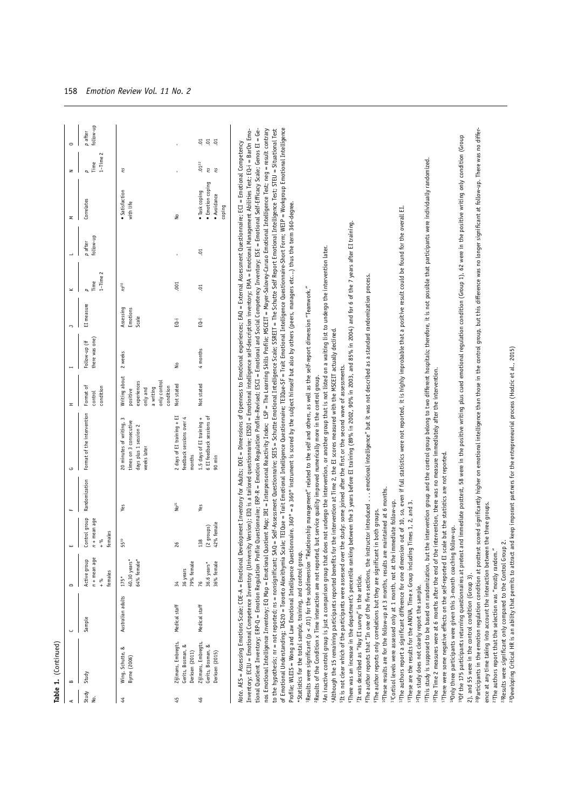|             | Table 1. (Continued)                                                                                                                                                                                                                                                                                                                                                                                                                                                                                           |                   |                                                     |                                                                          |                    |                                                                                                                                                                                                                                                                                                                                                                                                                                                                                                                                                                                                                                                                                                                                                                                                                                                                                                                                                                                                                                                                                                                                                                          |                                                                                                |                                 |                                |                             |                      |                                                            |                             |                        |
|-------------|----------------------------------------------------------------------------------------------------------------------------------------------------------------------------------------------------------------------------------------------------------------------------------------------------------------------------------------------------------------------------------------------------------------------------------------------------------------------------------------------------------------|-------------------|-----------------------------------------------------|--------------------------------------------------------------------------|--------------------|--------------------------------------------------------------------------------------------------------------------------------------------------------------------------------------------------------------------------------------------------------------------------------------------------------------------------------------------------------------------------------------------------------------------------------------------------------------------------------------------------------------------------------------------------------------------------------------------------------------------------------------------------------------------------------------------------------------------------------------------------------------------------------------------------------------------------------------------------------------------------------------------------------------------------------------------------------------------------------------------------------------------------------------------------------------------------------------------------------------------------------------------------------------------------|------------------------------------------------------------------------------------------------|---------------------------------|--------------------------------|-----------------------------|----------------------|------------------------------------------------------------|-----------------------------|------------------------|
| ⋖           | $\bf{m}$                                                                                                                                                                                                                                                                                                                                                                                                                                                                                                       | ں                 | $\qquad \qquad \Box$                                | ш                                                                        | щ                  | G                                                                                                                                                                                                                                                                                                                                                                                                                                                                                                                                                                                                                                                                                                                                                                                                                                                                                                                                                                                                                                                                                                                                                                        | <b>H</b>                                                                                       | H                               | $\triangleright$               | $\geq$                      | $\rightarrow$        | Σ                                                          | $\mathbf{z}$                | $\circ$                |
| Study<br>ġ. | Study                                                                                                                                                                                                                                                                                                                                                                                                                                                                                                          | Sample            | $n +$ mean age<br>Active group<br>females<br>$+ 96$ | Control group<br>+ mean age<br>females<br>್ಗೆ<br>$\mathbf{r}$<br>$\ddag$ | Randomization      | Format of the intervention                                                                                                                                                                                                                                                                                                                                                                                                                                                                                                                                                                                                                                                                                                                                                                                                                                                                                                                                                                                                                                                                                                                                               | Format of<br>condition<br>control                                                              | there was one)<br>Follow-up (if | EI measure                     | $1 -$ Time $2$<br>Time<br>p | follow-up<br>p after | Correlates                                                 | $1 -$ Time $2$<br>Time<br>p | follow-up<br>$p$ after |
| 4           | ∞<br>Wing, Schutte,<br>Byrne (2006)                                                                                                                                                                                                                                                                                                                                                                                                                                                                            | Australian adults | $40.30$ years*<br>64% female*<br>$175*$             | $\frac{9}{11}$<br>s,                                                     | Yes                | 20 minutes of writing, 3<br>times on 3 consecutive<br>days plus 1 session 2<br>weeks later                                                                                                                                                                                                                                                                                                                                                                                                                                                                                                                                                                                                                                                                                                                                                                                                                                                                                                                                                                                                                                                                               | Writing about<br>only control<br>experiences<br>condition<br>a writing<br>only and<br>positive | 2 weeks                         | Assessing<br>Emotions<br>Scale | ns <sup>20</sup>            |                      | · Satisfaction<br>with life                                | ns                          |                        |
| 45          | Zijlmans, Embregts,<br>∞<br>Gerits, Bosman,<br>Derksen (2011)                                                                                                                                                                                                                                                                                                                                                                                                                                                  | Medical staff     | 79% female<br>36 years<br>34                        | $\frac{8}{2}$                                                            | $\mathsf{No}^{21}$ | 2 days of EI training + EI<br>feedback sessions over 4<br>months                                                                                                                                                                                                                                                                                                                                                                                                                                                                                                                                                                                                                                                                                                                                                                                                                                                                                                                                                                                                                                                                                                         | Not stated                                                                                     | ş                               | ΕÓ                             | .001                        |                      | $\stackrel{\circ}{\simeq}$                                 |                             |                        |
| 46          | Zijlmans, Embregts,<br>Gerits, Bosman, &<br>Derksen (2015)                                                                                                                                                                                                                                                                                                                                                                                                                                                     | Medical staff     | 36% female<br>36.6 years*<br>76                     | % female<br>groups)<br>œ<br>ఇ<br>$\widetilde{\phantom{a}}$<br>42         | Yes                | 6 EI feedback sessions of<br>1.5 days of EI training +<br>90 min                                                                                                                                                                                                                                                                                                                                                                                                                                                                                                                                                                                                                                                                                                                                                                                                                                                                                                                                                                                                                                                                                                         | Not stated                                                                                     | 4 months                        | ΕQ-i                           | S.                          | S.                   | • Emotion coping<br>· Task coping<br>· Avoidance<br>coping | $.01^{22}$<br>ΠS<br>m       | ត្ គ្ម<br>5            |
|             | *Statistics for the total sample, training, and control group.                                                                                                                                                                                                                                                                                                                                                                                                                                                 |                   |                                                     |                                                                          |                    | of Emotional Understanding; TAS20 = Toronto Alexithymia Scale; TEIQue = Tait Emotional Intelligence Questionnal Intelligence F = Trait Emotional Intelligence Questionnaire: Questionnaire: Short Form; WEIP = Workgroup Emoti<br>to the hypothesis; nr = not reported; ns = nonsignificant; SAQ = Self-Assessment Questionnaire; SEIS = Schutte Emotional Intelligence Scale; SSREIT = The Schutte Self Report Emotional Intelligence Test; STEU = Stuational T<br>Profile; WLEIS = Wong and Law Emotional Intelligence Questionnaire. 360° = a 360° instrument is scored by the subject himself but also by others (peers, managers etc) thus the term 360-degree.<br>An inactive control group is just a comparison group that does not undergo the intervention, or another group that is not listed on a waiting list to undergo the intervention later.<br>Results were significant (p < .01) for the subdimension "Relationship management" related to the self and others, as well as the self-report dimension "Teamwork."<br>Results of the Condition x Time interaction are not reported, but service quality improved numerically more in the control group. |                                                                                                |                                 |                                |                             |                      |                                                            |                             |                        |
|             | <sup>10</sup> These results are for the follow-up at 3 months, results are maintained at 6 months.<br><sup>8</sup> The author reports that "In one of the five sections, the instructor introduced.<br><sup>11</sup> Cortisol levels were assessed only at 1 month, not at the immediate follow-up.<br>Although the 15 remaining participants reported benefits for t<br><sup>9</sup> The author reports only correlations but they are significant in<br>"It was described as "Hay EI survey" in the article. |                   |                                                     | both groups.                                                             |                    | There was an increase in the department's percentile ranking between the 3 years before EI training (89% in 2002, 90% in 2003, and 85% in 2004) and for 6 of the 7 years after EI training.<br>emotional intelligence" but it was not described as a standard randomization process.<br>he intervention at Time 2, the EI scores measured with the MSCEIT actually declined.<br><sup>5</sup> It is not clear which of the participants were assessed over the study: some joined after the first or the second wave of assessments.                                                                                                                                                                                                                                                                                                                                                                                                                                                                                                                                                                                                                                      |                                                                                                |                                 |                                |                             |                      |                                                            |                             |                        |
|             | <sup>17</sup> There were some negative effects on the self-reported EI scale but the statistics are not reported.<br><sup>13</sup> These are the results for the ANOVA, Time x Group including Times 1, 2, and 3.<br>"Only three participants were given this 3-month coaching follow-up.<br><sup>15</sup> This study is supposed to be based on randomization, but the<br>"The study does not clearly report the sample.                                                                                      |                   |                                                     |                                                                          |                    | intervention group and the control group belong to two different hospitals; therefore, it is not possible that participants were individually randomized.<br>"The authors report a significant difference for one dimension out of 10, so, even if full statistics were not reported, it is highly improbable that a positive result could be found for the overall EL<br><sup>16</sup> The Time 2 measures were at 6 months after the end of the intervention, there was no measure immediately after the intervention.                                                                                                                                                                                                                                                                                                                                                                                                                                                                                                                                                                                                                                                 |                                                                                                |                                 |                                |                             |                      |                                                            |                             |                        |
|             | ence at any time taking into account the interaction between the three groups.<br>2), and 55 were in the control condition (Group 3).                                                                                                                                                                                                                                                                                                                                                                          |                   |                                                     |                                                                          |                    | <sup>op</sup> articipants in the emotion regulation condition at posttest scored significantly higher on emotional intelligence than those in the control group, but this difference was no longer significant at follow-up. There was n<br>40f the 175 participants returning questionnaires at pretest and immediate postet, 58 were in the positive writing plus cued emotional regulation Coroup 1), 62 were in the positive writing only condition (Group                                                                                                                                                                                                                                                                                                                                                                                                                                                                                                                                                                                                                                                                                                           |                                                                                                |                                 |                                |                             |                      |                                                            |                             |                        |
|             | <sup>22</sup> Results were significant only compared to the Control Group 2<br><sup>21</sup> The authors report that the selection was "mostly random."                                                                                                                                                                                                                                                                                                                                                        |                   |                                                     |                                                                          |                    | <sup>23</sup> Developing Critical HR is an ability that permits to attract and keep imporant partners for the entrepreneurial process (Hodzic et al., 2015)                                                                                                                                                                                                                                                                                                                                                                                                                                                                                                                                                                                                                                                                                                                                                                                                                                                                                                                                                                                                              |                                                                                                |                                 |                                |                             |                      |                                                            |                             |                        |
|             |                                                                                                                                                                                                                                                                                                                                                                                                                                                                                                                |                   |                                                     |                                                                          |                    |                                                                                                                                                                                                                                                                                                                                                                                                                                                                                                                                                                                                                                                                                                                                                                                                                                                                                                                                                                                                                                                                                                                                                                          |                                                                                                |                                 |                                |                             |                      |                                                            |                             |                        |

158 *Emotion Review Vol. 11 No. 2*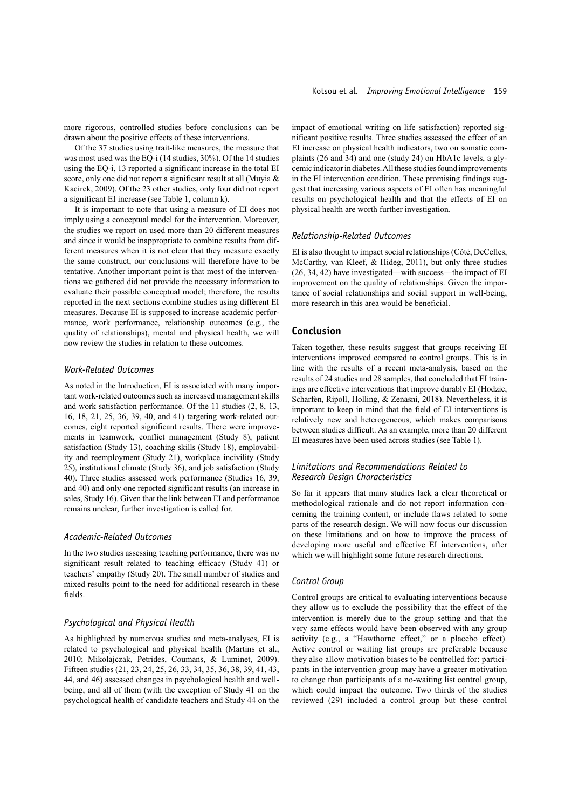more rigorous, controlled studies before conclusions can be drawn about the positive effects of these interventions. Of the 37 studies using trait-like measures, the measure that

was most used was the EQ-i (14 studies, 30%). Of the 14 studies using the EQ-i, 13 reported a significant increase in the total EI score, only one did not report a significant result at all (Muyia & Kacirek, 2009). Of the 23 other studies, only four did not report a significant EI increase (see Table 1, column k).

It is important to note that using a measure of EI does not imply using a conceptual model for the intervention. Moreover, the studies we report on used more than 20 different measures and since it would be inappropriate to combine results from different measures when it is not clear that they measure exactly the same construct, our conclusions will therefore have to be tentative. Another important point is that most of the interventions we gathered did not provide the necessary information to evaluate their possible conceptual model; therefore, the results reported in the next sections combine studies using different EI measures. Because EI is supposed to increase academic performance, work performance, relationship outcomes (e.g., the quality of relationships), mental and physical health, we will now review the studies in relation to these outcomes.

#### *Work-Related Outcomes*

As noted in the Introduction, EI is associated with many important work-related outcomes such as increased management skills and work satisfaction performance. Of the 11 studies (2, 8, 13, 16, 18, 21, 25, 36, 39, 40, and 41) targeting work-related outcomes, eight reported significant results. There were improvements in teamwork, conflict management (Study 8), patient satisfaction (Study 13), coaching skills (Study 18), employability and reemployment (Study 21), workplace incivility (Study 25), institutional climate (Study 36), and job satisfaction (Study 40). Three studies assessed work performance (Studies 16, 39, and 40) and only one reported significant results (an increase in sales, Study 16). Given that the link between EI and performance remains unclear, further investigation is called for.

#### *Academic-Related Outcomes*

In the two studies assessing teaching performance, there was no significant result related to teaching efficacy (Study 41) or teachers' empathy (Study 20). The small number of studies and mixed results point to the need for additional research in these fields.

#### *Psychological and Physical Health*

As highlighted by numerous studies and meta-analyses, EI is related to psychological and physical health (Martins et al., 2010; Mikolajczak, Petrides, Coumans, & Luminet, 2009). Fifteen studies (21, 23, 24, 25, 26, 33, 34, 35, 36, 38, 39, 41, 43, 44, and 46) assessed changes in psychological health and wellbeing, and all of them (with the exception of Study 41 on the psychological health of candidate teachers and Study 44 on the impact of emotional writing on life satisfaction) reported significant positive results. Three studies assessed the effect of an EI increase on physical health indicators, two on somatic complaints (26 and 34) and one (study 24) on HbA1c levels, a glycemic indicator in diabetes. All these studies found improvements in the EI intervention condition. These promising findings suggest that increasing various aspects of EI often has meaningful results on psychological health and that the effects of EI on physical health are worth further investigation.

#### *Relationship-Related Outcomes*

EI is also thought to impact social relationships (Côté, DeCelles, McCarthy, van Kleef, & Hideg, 2011), but only three studies (26, 34, 42) have investigated—with success—the impact of EI improvement on the quality of relationships. Given the importance of social relationships and social support in well-being, more research in this area would be beneficial.

## **Conclusion**

Taken together, these results suggest that groups receiving EI interventions improved compared to control groups. This is in line with the results of a recent meta-analysis, based on the results of 24 studies and 28 samples, that concluded that EI trainings are effective interventions that improve durably EI (Hodzic, Scharfen, Ripoll, Holling, & Zenasni, 2018). Nevertheless, it is important to keep in mind that the field of EI interventions is relatively new and heterogeneous, which makes comparisons between studies difficult. As an example, more than 20 different EI measures have been used across studies (see Table 1).

## *Limitations and Recommendations Related to Research Design Characteristics*

So far it appears that many studies lack a clear theoretical or methodological rationale and do not report information concerning the training content, or include flaws related to some parts of the research design. We will now focus our discussion on these limitations and on how to improve the process of developing more useful and effective EI interventions, after which we will highlight some future research directions.

#### *Control Group*

Control groups are critical to evaluating interventions because they allow us to exclude the possibility that the effect of the intervention is merely due to the group setting and that the very same effects would have been observed with any group activity (e.g., a "Hawthorne effect," or a placebo effect). Active control or waiting list groups are preferable because they also allow motivation biases to be controlled for: participants in the intervention group may have a greater motivation to change than participants of a no-waiting list control group, which could impact the outcome. Two thirds of the studies reviewed (29) included a control group but these control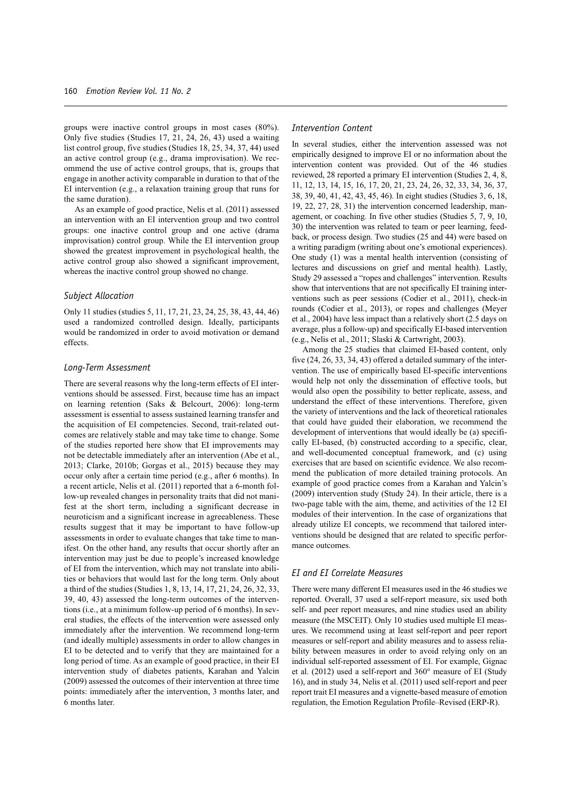groups were inactive control groups in most cases (80%). Only five studies (Studies 17, 21, 24, 26, 43) used a waiting list control group, five studies (Studies 18, 25, 34, 37, 44) used an active control group (e.g., drama improvisation). We recommend the use of active control groups, that is, groups that engage in another activity comparable in duration to that of the EI intervention (e.g., a relaxation training group that runs for the same duration).

As an example of good practice, Nelis et al. (2011) assessed an intervention with an EI intervention group and two control groups: one inactive control group and one active (drama improvisation) control group. While the EI intervention group showed the greatest improvement in psychological health, the active control group also showed a significant improvement, whereas the inactive control group showed no change.

#### *Subject Allocation*

Only 11 studies (studies 5, 11, 17, 21, 23, 24, 25, 38, 43, 44, 46) used a randomized controlled design. Ideally, participants would be randomized in order to avoid motivation or demand effects.

#### *Long-Term Assessment*

There are several reasons why the long-term effects of EI interventions should be assessed. First, because time has an impact on learning retention (Saks & Belcourt, 2006): long-term assessment is essential to assess sustained learning transfer and the acquisition of EI competencies. Second, trait-related outcomes are relatively stable and may take time to change. Some of the studies reported here show that EI improvements may not be detectable immediately after an intervention (Abe et al., 2013; Clarke, 2010b; Gorgas et al., 2015) because they may occur only after a certain time period (e.g., after 6 months). In a recent article, Nelis et al. (2011) reported that a 6-month follow-up revealed changes in personality traits that did not manifest at the short term, including a significant decrease in neuroticism and a significant increase in agreeableness. These results suggest that it may be important to have follow-up assessments in order to evaluate changes that take time to manifest. On the other hand, any results that occur shortly after an intervention may just be due to people's increased knowledge of EI from the intervention, which may not translate into abilities or behaviors that would last for the long term. Only about a third of the studies (Studies 1, 8, 13, 14, 17, 21, 24, 26, 32, 33, 39, 40, 43) assessed the long-term outcomes of the interventions (i.e., at a minimum follow-up period of 6 months). In several studies, the effects of the intervention were assessed only immediately after the intervention. We recommend long-term (and ideally multiple) assessments in order to allow changes in EI to be detected and to verify that they are maintained for a long period of time. As an example of good practice, in their EI intervention study of diabetes patients, Karahan and Yalcin (2009) assessed the outcomes of their intervention at three time points: immediately after the intervention, 3 months later, and 6 months later.

#### *Intervention Content*

In several studies, either the intervention assessed was not empirically designed to improve EI or no information about the intervention content was provided. Out of the 46 studies reviewed, 28 reported a primary EI intervention (Studies 2, 4, 8, 11, 12, 13, 14, 15, 16, 17, 20, 21, 23, 24, 26, 32, 33, 34, 36, 37, 38, 39, 40, 41, 42, 43, 45, 46). In eight studies (Studies 3, 6, 18, 19, 22, 27, 28, 31) the intervention concerned leadership, management, or coaching. In five other studies (Studies 5, 7, 9, 10, 30) the intervention was related to team or peer learning, feedback, or process design. Two studies (25 and 44) were based on a writing paradigm (writing about one's emotional experiences). One study (1) was a mental health intervention (consisting of lectures and discussions on grief and mental health). Lastly, Study 29 assessed a "ropes and challenges" intervention. Results show that interventions that are not specifically EI training interventions such as peer sessions (Codier et al., 2011), check-in rounds (Codier et al., 2013), or ropes and challenges (Meyer et al., 2004) have less impact than a relatively short (2.5 days on average, plus a follow-up) and specifically EI-based intervention (e.g., Nelis et al., 2011; Slaski & Cartwright, 2003).

Among the 25 studies that claimed EI-based content, only five (24, 26, 33, 34, 43) offered a detailed summary of the intervention. The use of empirically based EI-specific interventions would help not only the dissemination of effective tools, but would also open the possibility to better replicate, assess, and understand the effect of these interventions. Therefore, given the variety of interventions and the lack of theoretical rationales that could have guided their elaboration, we recommend the development of interventions that would ideally be (a) specifically EI-based, (b) constructed according to a specific, clear, and well-documented conceptual framework, and (c) using exercises that are based on scientific evidence. We also recommend the publication of more detailed training protocols. An example of good practice comes from a Karahan and Yalcin's (2009) intervention study (Study 24). In their article, there is a two-page table with the aim, theme, and activities of the 12 EI modules of their intervention. In the case of organizations that already utilize EI concepts, we recommend that tailored interventions should be designed that are related to specific performance outcomes.

## *EI and EI Correlate Measures*

There were many different EI measures used in the 46 studies we reported. Overall, 37 used a self-report measure, six used both self- and peer report measures, and nine studies used an ability measure (the MSCEIT). Only 10 studies used multiple EI measures. We recommend using at least self-report and peer report measures or self-report and ability measures and to assess reliability between measures in order to avoid relying only on an individual self-reported assessment of EI. For example, Gignac et al. (2012) used a self-report and 360° measure of EI (Study 16), and in study 34, Nelis et al. (2011) used self-report and peer report trait EI measures and a vignette-based measure of emotion regulation, the Emotion Regulation Profile–Revised (ERP-R).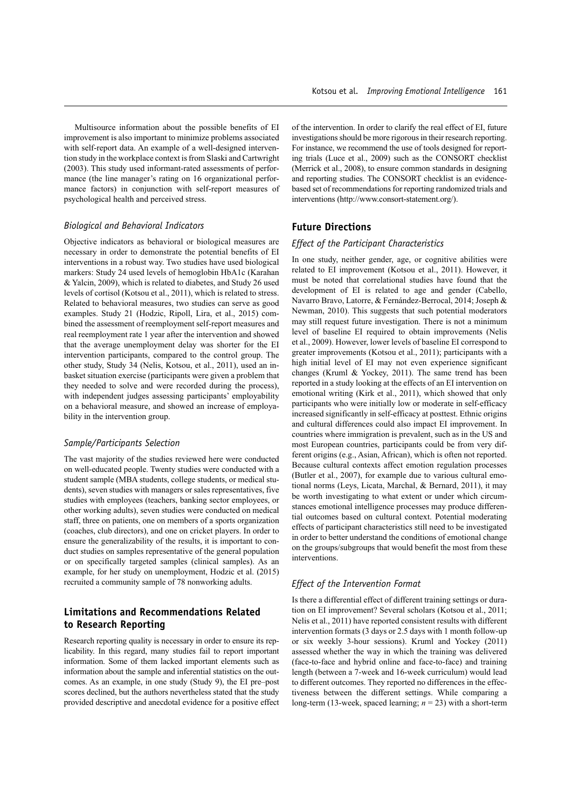Multisource information about the possible benefits of EI improvement is also important to minimize problems associated with self-report data. An example of a well-designed intervention study in the workplace context is from Slaski and Cartwright (2003). This study used informant-rated assessments of performance (the line manager's rating on 16 organizational performance factors) in conjunction with self-report measures of psychological health and perceived stress.

#### *Biological and Behavioral Indicators*

Objective indicators as behavioral or biological measures are necessary in order to demonstrate the potential benefits of EI interventions in a robust way. Two studies have used biological markers: Study 24 used levels of hemoglobin HbA1c (Karahan & Yalcin, 2009), which is related to diabetes, and Study 26 used levels of cortisol (Kotsou et al., 2011), which is related to stress. Related to behavioral measures, two studies can serve as good examples. Study 21 (Hodzic, Ripoll, Lira, et al., 2015) combined the assessment of reemployment self-report measures and real reemployment rate 1 year after the intervention and showed that the average unemployment delay was shorter for the EI intervention participants, compared to the control group. The other study, Study 34 (Nelis, Kotsou, et al., 2011), used an inbasket situation exercise (participants were given a problem that they needed to solve and were recorded during the process), with independent judges assessing participants' employability on a behavioral measure, and showed an increase of employability in the intervention group.

#### *Sample/Participants Selection*

The vast majority of the studies reviewed here were conducted on well-educated people. Twenty studies were conducted with a student sample (MBA students, college students, or medical students), seven studies with managers or sales representatives, five studies with employees (teachers, banking sector employees, or other working adults), seven studies were conducted on medical staff, three on patients, one on members of a sports organization (coaches, club directors), and one on cricket players. In order to ensure the generalizability of the results, it is important to conduct studies on samples representative of the general population or on specifically targeted samples (clinical samples). As an example, for her study on unemployment, Hodzic et al. (2015) recruited a community sample of 78 nonworking adults.

## **Limitations and Recommendations Related to Research Reporting**

Research reporting quality is necessary in order to ensure its replicability. In this regard, many studies fail to report important information. Some of them lacked important elements such as information about the sample and inferential statistics on the outcomes. As an example, in one study (Study 9), the EI pre–post scores declined, but the authors nevertheless stated that the study provided descriptive and anecdotal evidence for a positive effect of the intervention. In order to clarify the real effect of EI, future investigations should be more rigorous in their research reporting. For instance, we recommend the use of tools designed for reporting trials (Luce et al., 2009) such as the CONSORT checklist (Merrick et al., 2008), to ensure common standards in designing and reporting studies. The CONSORT checklist is an evidencebased set of recommendations for reporting randomized trials and interventions ([http://www.consort-statement.org/\)](http://www.consort-statement.org/).

## **Future Directions**

#### *Effect of the Participant Characteristics*

In one study, neither gender, age, or cognitive abilities were related to EI improvement (Kotsou et al., 2011). However, it must be noted that correlational studies have found that the development of EI is related to age and gender (Cabello, Navarro Bravo, Latorre, & Fernández-Berrocal, 2014; Joseph & Newman, 2010). This suggests that such potential moderators may still request future investigation. There is not a minimum level of baseline EI required to obtain improvements (Nelis et al., 2009). However, lower levels of baseline EI correspond to greater improvements (Kotsou et al., 2011); participants with a high initial level of EI may not even experience significant changes (Kruml & Yockey, 2011). The same trend has been reported in a study looking at the effects of an EI intervention on emotional writing (Kirk et al., 2011), which showed that only participants who were initially low or moderate in self-efficacy increased significantly in self-efficacy at posttest. Ethnic origins and cultural differences could also impact EI improvement. In countries where immigration is prevalent, such as in the US and most European countries, participants could be from very different origins (e.g., Asian, African), which is often not reported. Because cultural contexts affect emotion regulation processes (Butler et al., 2007), for example due to various cultural emotional norms (Leys, Licata, Marchal, & Bernard, 2011), it may be worth investigating to what extent or under which circumstances emotional intelligence processes may produce differential outcomes based on cultural context. Potential moderating effects of participant characteristics still need to be investigated in order to better understand the conditions of emotional change on the groups/subgroups that would benefit the most from these interventions.

## *Effect of the Intervention Format*

Is there a differential effect of different training settings or duration on EI improvement? Several scholars (Kotsou et al., 2011; Nelis et al., 2011) have reported consistent results with different intervention formats (3 days or 2.5 days with 1 month follow-up or six weekly 3-hour sessions). Kruml and Yockey (2011) assessed whether the way in which the training was delivered (face-to-face and hybrid online and face-to-face) and training length (between a 7-week and 16-week curriculum) would lead to different outcomes. They reported no differences in the effectiveness between the different settings. While comparing a long-term (13-week, spaced learning; *n* = 23) with a short-term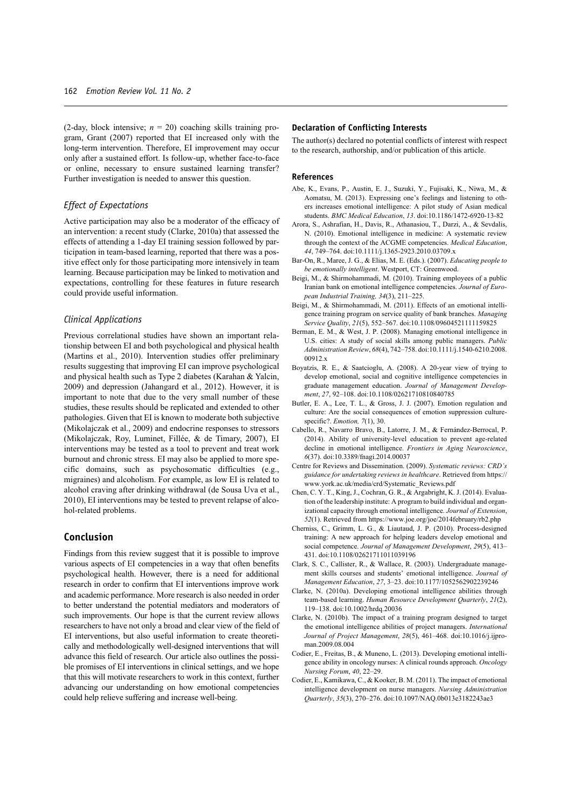(2-day, block intensive;  $n = 20$ ) coaching skills training program, Grant (2007) reported that EI increased only with the long-term intervention. Therefore, EI improvement may occur only after a sustained effort. Is follow-up, whether face-to-face or online, necessary to ensure sustained learning transfer? Further investigation is needed to answer this question.

## *Effect of Expectations*

Active participation may also be a moderator of the efficacy of an intervention: a recent study (Clarke, 2010a) that assessed the effects of attending a 1-day EI training session followed by participation in team-based learning, reported that there was a positive effect only for those participating more intensively in team learning. Because participation may be linked to motivation and expectations, controlling for these features in future research could provide useful information.

#### *Clinical Applications*

Previous correlational studies have shown an important relationship between EI and both psychological and physical health (Martins et al., 2010). Intervention studies offer preliminary results suggesting that improving EI can improve psychological and physical health such as Type 2 diabetes (Karahan & Yalcin, 2009) and depression (Jahangard et al., 2012). However, it is important to note that due to the very small number of these studies, these results should be replicated and extended to other pathologies. Given that EI is known to moderate both subjective (Mikolajczak et al., 2009) and endocrine responses to stressors (Mikolajczak, Roy, Luminet, Fillée, & de Timary, 2007), EI interventions may be tested as a tool to prevent and treat work burnout and chronic stress. EI may also be applied to more specific domains, such as psychosomatic difficulties (e.g., migraines) and alcoholism. For example, as low EI is related to alcohol craving after drinking withdrawal (de Sousa Uva et al., 2010), EI interventions may be tested to prevent relapse of alcohol-related problems.

## **Conclusion**

Findings from this review suggest that it is possible to improve various aspects of EI competencies in a way that often benefits psychological health. However, there is a need for additional research in order to confirm that EI interventions improve work and academic performance. More research is also needed in order to better understand the potential mediators and moderators of such improvements. Our hope is that the current review allows researchers to have not only a broad and clear view of the field of EI interventions, but also useful information to create theoretically and methodologically well-designed interventions that will advance this field of research. Our article also outlines the possible promises of EI interventions in clinical settings, and we hope that this will motivate researchers to work in this context, further advancing our understanding on how emotional competencies could help relieve suffering and increase well-being.

#### **Declaration of Conflicting Interests**

The author(s) declared no potential conflicts of interest with respect to the research, authorship, and/or publication of this article.

#### **References**

- Abe, K., Evans, P., Austin, E. J., Suzuki, Y., Fujisaki, K., Niwa, M., & Aomatsu, M. (2013). Expressing one's feelings and listening to others increases emotional intelligence: A pilot study of Asian medical students. *BMC Medical Education*, *13*. doi:10.1186/1472-6920-13-82
- Arora, S., Ashrafian, H., Davis, R., Athanasiou, T., Darzi, A., & Sevdalis, N. (2010). Emotional intelligence in medicine: A systematic review through the context of the ACGME competencies. *Medical Education*, *44*, 749–764. doi:10.1111/j.1365-2923.2010.03709.x
- Bar-On, R., Maree, J. G., & Elias, M. E. (Eds.). (2007). *Educating people to be emotionally intelligent*. Westport, CT: Greenwood.
- Beigi, M., & Shirmohammadi, M. (2010). Training employees of a public Iranian bank on emotional intelligence competencies. *Journal of European Industrial Training, 34*(3), 211–225.
- Beigi, M., & Shirmohammadi, M. (2011). Effects of an emotional intelligence training program on service quality of bank branches. *Managing Service Quality*, *21*(5), 552–567. doi:10.1108/09604521111159825
- Berman, E. M., & West, J. P. (2008). Managing emotional intelligence in U.S. cities: A study of social skills among public managers. *Public Administration Review*, *68*(4), 742–758. doi:10.1111/j.1540-6210.2008. 00912.x
- Boyatzis, R. E., & Saatcioglu, A. (2008). A 20-year view of trying to develop emotional, social and cognitive intelligence competencies in graduate management education. *Journal of Management Development*, *27*, 92–108. doi:10.1108/02621710810840785
- Butler, E. A., Lee, T. L., & Gross, J. J. (2007). Emotion regulation and culture: Are the social consequences of emotion suppression culturespecific?. *Emotion, 7*(1), 30.
- Cabello, R., Navarro Bravo, B., Latorre, J. M., & Fernández-Berrocal, P. (2014). Ability of university-level education to prevent age-related decline in emotional intelligence. *Frontiers in Aging Neuroscience*, *6*(37). doi:10.3389/fnagi.2014.00037
- Centre for Reviews and Dissemination. (2009). *Systematic reviews: CRD's guidance for undertaking reviews in healthcare*. Retrieved from [https://](https://www.york.ac.uk/media/crd/Systematic_Reviews.pdf) [www.york.ac.uk/media/crd/Systematic\\_Reviews.pdf](https://www.york.ac.uk/media/crd/Systematic_Reviews.pdf)
- Chen, C. Y. T., King, J., Cochran, G. R., & Argabright, K. J. (2014). Evaluation of the leadership institute: A program to build individual and organizational capacity through emotional intelligence. *Journal of Extension*, *52*(1). Retrieved from <https://www.joe.org/joe/2014february/rb2.php>
- Cherniss, C., Grimm, L. G., & Liautaud, J. P. (2010). Process-designed training: A new approach for helping leaders develop emotional and social competence. *Journal of Management Development*, *29*(5), 413– 431. doi:10.1108/02621711011039196
- Clark, S. C., Callister, R., & Wallace, R. (2003). Undergraduate management skills courses and students' emotional intelligence. *Journal of Management Education*, *27*, 3–23. doi:10.1177/1052562902239246
- Clarke, N. (2010a). Developing emotional intelligence abilities through team-based learning. *Human Resource Development Quarterly*, *21*(2), 119–138. doi:10.1002/hrdq.20036
- Clarke, N. (2010b). The impact of a training program designed to target the emotional intelligence abilities of project managers. *International Journal of Project Management*, *28*(5), 461–468. doi:10.1016/j.ijproman.2009.08.004
- Codier, E., Freitas, B., & Muneno, L. (2013). Developing emotional intelligence ability in oncology nurses: A clinical rounds approach. *Oncology Nursing Forum*, *40*, 22–29.
- Codier, E., Kamikawa, C., & Kooker, B. M. (2011). The impact of emotional intelligence development on nurse managers. *Nursing Administration Quarterly*, *35*(3), 270–276. doi:10.1097/NAQ.0b013e3182243ae3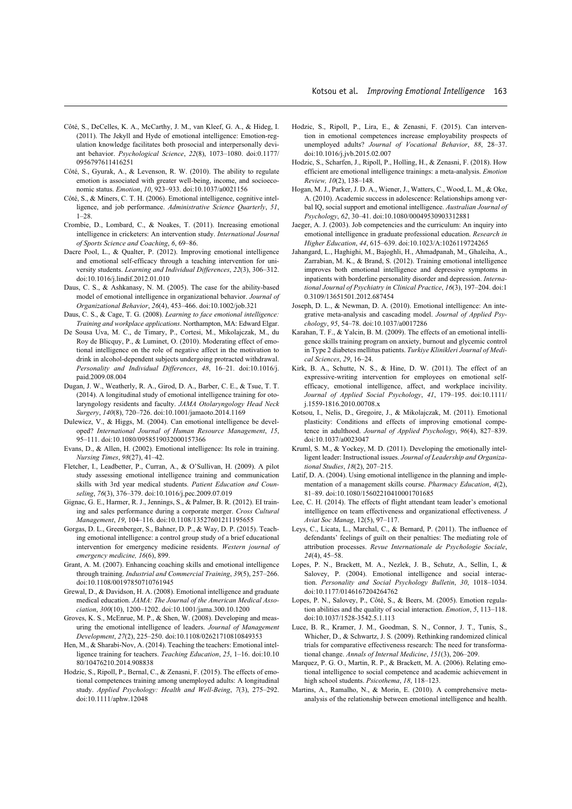- Côté, S., DeCelles, K. A., McCarthy, J. M., van Kleef, G. A., & Hideg, I. (2011). The Jekyll and Hyde of emotional intelligence: Emotion-regulation knowledge facilitates both prosocial and interpersonally deviant behavior. *Psychological Science*, *22*(8), 1073–1080. doi:0.1177/ 0956797611416251
- Côté, S., Gyurak, A., & Levenson, R. W. (2010). The ability to regulate emotion is associated with greater well-being, income, and socioeconomic status. *Emotion*, *10*, 923–933. doi:10.1037/a0021156
- Côté, S., & Miners, C. T. H. (2006). Emotional intelligence, cognitive intelligence, and job performance. *Administrative Science Quarterly*, *51*, 1–28.
- Crombie, D., Lombard, C., & Noakes, T. (2011). Increasing emotional intelligence in cricketers: An intervention study. *International Journal of Sports Science and Coaching*, *6*, 69–86.
- Dacre Pool, L., & Qualter, P. (2012). Improving emotional intelligence and emotional self-efficacy through a teaching intervention for university students. *Learning and Individual Differences*, *22*(3), 306–312. doi:10.1016/j.lindif.2012.01.010
- Daus, C. S., & Ashkanasy, N. M. (2005). The case for the ability-based model of emotional intelligence in organizational behavior. *Journal of Organizational Behavior*, *26*(4), 453–466. doi:10.1002/job.321
- Daus, C. S., & Cage, T. G. (2008). *Learning to face emotional intelligence: Training and workplace applications*. Northampton, MA: Edward Elgar.
- De Sousa Uva, M. C., de Timary, P., Cortesi, M., Mikolajczak, M., du Roy de Blicquy, P., & Luminet, O. (2010). Moderating effect of emotional intelligence on the role of negative affect in the motivation to drink in alcohol-dependent subjects undergoing protracted withdrawal. *Personality and Individual Differences*, *48*, 16–21. doi:10.1016/j. paid.2009.08.004
- Dugan, J. W., Weatherly, R. A., Girod, D. A., Barber, C. E., & Tsue, T. T. (2014). A longitudinal study of emotional intelligence training for otolaryngology residents and faculty. *JAMA Otolaryngology Head Neck Surgery*, *140*(8), 720–726. doi:10.1001/jamaoto.2014.1169
- Dulewicz, V., & Higgs, M. (2004). Can emotional intelligence be developed? *International Journal of Human Resource Management*, *15*, 95–111. doi:10.1080/0958519032000157366
- Evans, D., & Allen, H. (2002). Emotional intelligence: Its role in training. *Nursing Times*, *98*(27), 41–42.
- Fletcher, I., Leadbetter, P., Curran, A., & O'Sullivan, H. (2009). A pilot study assessing emotional intelligence training and communication skills with 3rd year medical students. *Patient Education and Counseling*, *76*(3), 376–379. doi:10.1016/j.pec.2009.07.019
- Gignac, G. E., Harmer, R. J., Jennings, S., & Palmer, B. R. (2012). EI training and sales performance during a corporate merger. *Cross Cultural Management*, *19*, 104–116. doi:10.1108/13527601211195655
- Gorgas, D. L., Greenberger, S., Bahner, D. P., & Way, D. P. (2015). Teaching emotional intelligence: a control group study of a brief educational intervention for emergency medicine residents. *Western journal of emergency medicine, 16*(6), 899.
- Grant, A. M. (2007). Enhancing coaching skills and emotional intelligence through training. *Industrial and Commercial Training*, *39*(5), 257–266. doi:10.1108/00197850710761945
- Grewal, D., & Davidson, H. A. (2008). Emotional intelligence and graduate medical education. *JAMA: The Journal of the American Medical Association*, *300*(10), 1200–1202. doi:10.1001/jama.300.10.1200
- Groves, K. S., McEnrue, M. P., & Shen, W. (2008). Developing and measuring the emotional intelligence of leaders. *Journal of Management Development*, *27*(2), 225–250. doi:10.1108/02621710810849353
- Hen, M., & Sharabi-Nov, A. (2014). Teaching the teachers: Emotional intelligence training for teachers. *Teaching Education*, *25*, 1–16. doi:10.10 80/10476210.2014.908838
- Hodzic, S., Ripoll, P., Bernal, C., & Zenasni, F. (2015). The effects of emotional competences training among unemployed adults: A longitudinal study. *Applied Psychology: Health and Well-Being*, *7*(3), 275–292. doi:10.1111/aphw.12048
- Hodzic, S., Ripoll, P., Lira, E., & Zenasni, F. (2015). Can intervention in emotional competences increase employability prospects of unemployed adults? *Journal of Vocational Behavior*, *88*, 28–37. doi:10.1016/j.jvb.2015.02.007
- Hodzic, S., Scharfen, J., Ripoll, P., Holling, H., & Zenasni, F. (2018). How efficient are emotional intelligence trainings: a meta-analysis. *Emotion Review, 10*(2), 138–148.
- Hogan, M. J., Parker, J. D. A., Wiener, J., Watters, C., Wood, L. M., & Oke, A. (2010). Academic success in adolescence: Relationships among verbal IQ, social support and emotional intelligence. *Australian Journal of Psychology*, *62*, 30–41. doi:10.1080/00049530903312881
- Jaeger, A. J. (2003). Job competencies and the curriculum: An inquiry into emotional intelligence in graduate professional education. *Research in Higher Education*, *44*, 615–639. doi:10.1023/A:1026119724265
- Jahangard, L., Haghighi, M., Bajoghli, H., Ahmadpanah, M., Ghaleiha, A., Zarrabian, M. K., & Brand, S. (2012). Training emotional intelligence improves both emotional intelligence and depressive symptoms in inpatients with borderline personality disorder and depression. *International Journal of Psychiatry in Clinical Practice*, *16*(3), 197–204. doi:1 0.3109/13651501.2012.687454
- Joseph, D. L., & Newman, D. A. (2010). Emotional intelligence: An integrative meta-analysis and cascading model. *Journal of Applied Psychology*, *95*, 54–78. doi:10.1037/a0017286
- Karahan, T. F., & Yalcin, B. M. (2009). The effects of an emotional intelligence skills training program on anxiety, burnout and glycemic control in Type 2 diabetes mellitus patients. *Turkiye Klinikleri Journal of Medical Sciences*, *29*, 16–24.
- Kirk, B. A., Schutte, N. S., & Hine, D. W. (2011). The effect of an expressive-writing intervention for employees on emotional selfefficacy, emotional intelligence, affect, and workplace incivility. *Journal of Applied Social Psychology*, *41*, 179–195. doi:10.1111/ j.1559-1816.2010.00708.x
- Kotsou, I., Nelis, D., Gregoire, J., & Mikolajczak, M. (2011). Emotional plasticity: Conditions and effects of improving emotional competence in adulthood. *Journal of Applied Psychology*, *96*(4), 827–839. doi:10.1037/a0023047
- Kruml, S. M., & Yockey, M. D. (2011). Developing the emotionally intelligent leader: Instructional issues. *Journal of Leadership and Organizational Studies*, *18*(2), 207–215.
- Latif, D. A. (2004). Using emotional intelligence in the planning and implementation of a management skills course. *Pharmacy Education*, *4*(2), 81–89. doi:10.1080/15602210410001701685
- Lee, C. H. (2014). The effects of flight attendant team leader's emotional intelligence on team effectiveness and organizational effectiveness. *J Aviat Soc Manag*, 12(5), 97–117.
- Leys, C., Licata, L., Marchal, C., & Bernard, P. (2011). The influence of defendants' feelings of guilt on their penalties: The mediating role of attribution processes. *Revue Internationale de Psychologie Sociale*, *24*(4), 45–58.
- Lopes, P. N., Brackett, M. A., Nezlek, J. B., Schutz, A., Sellin, I., & Salovey, P. (2004). Emotional intelligence and social interaction. *Personality and Social Psychology Bulletin*, *30*, 1018–1034. doi:10.1177/0146167204264762
- Lopes, P. N., Salovey, P., Côté, S., & Beers, M. (2005). Emotion regulation abilities and the quality of social interaction. *Emotion*, *5*, 113–118. doi:10.1037/1528-3542.5.1.113
- Luce, B. R., Kramer, J. M., Goodman, S. N., Connor, J. T., Tunis, S., Whicher, D., & Schwartz, J. S. (2009). Rethinking randomized clinical trials for comparative effectiveness research: The need for transformational change. *Annals of Internal Medicine*, *151*(3), 206–209.
- Marquez, P. G. O., Martin, R. P., & Brackett, M. A. (2006). Relating emotional intelligence to social competence and academic achievement in high school students. *Psicothema*, *18*, 118–123.
- Martins, A., Ramalho, N., & Morin, E. (2010). A comprehensive metaanalysis of the relationship between emotional intelligence and health.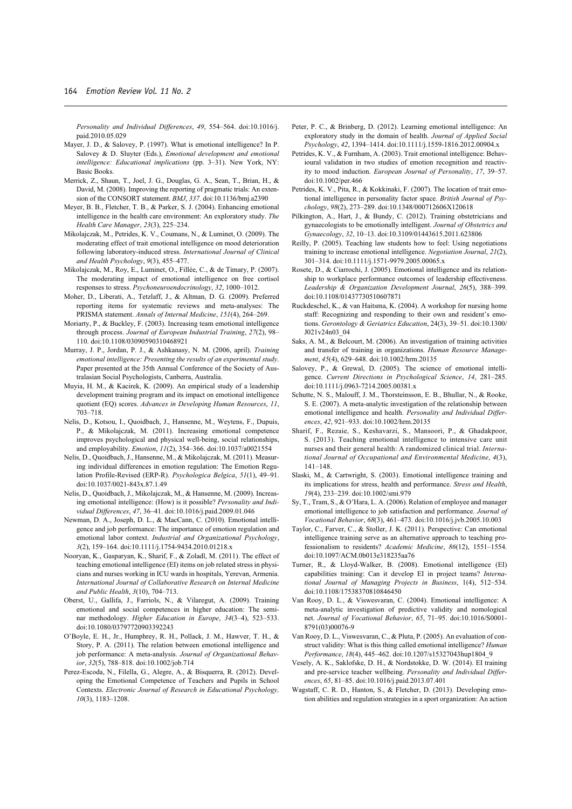*Personality and Individual Differences*, *49*, 554–564. doi:10.1016/j. paid.2010.05.029

- Mayer, J. D., & Salovey, P. (1997). What is emotional intelligence? In P. Salovey & D. Sluyter (Eds.), *Emotional development and emotional intelligence: Educational implications* (pp. 3–31). New York, NY: Basic Books.
- Merrick, Z., Shaun, T., Joel, J. G., Douglas, G. A., Sean, T., Brian, H., & David, M. (2008). Improving the reporting of pragmatic trials: An extension of the CONSORT statement. *BMJ*, *337*. doi:10.1136/bmj.a2390
- Meyer, B. B., Fletcher, T. B., & Parker, S. J. (2004). Enhancing emotional intelligence in the health care environment: An exploratory study. *The Health Care Manager*, *23*(3), 225–234.
- Mikolajczak, M., Petrides, K. V., Coumans, N., & Luminet, O. (2009). The moderating effect of trait emotional intelligence on mood deterioration following laboratory-induced stress. *International Journal of Clinical and Health Psychology*, *9*(3), 455–477.
- Mikolajczak, M., Roy, E., Luminet, O., Fillée, C., & de Timary, P. (2007). The moderating impact of emotional intelligence on free cortisol responses to stress. *Psychoneuroendocrinology*, *32*, 1000–1012.
- Moher, D., Liberati, A., Tetzlaff, J., & Altman, D. G. (2009). Preferred reporting items for systematic reviews and meta-analyses: The PRISMA statement. *Annals of Internal Medicine*, *151*(4), 264–269.
- Moriarty, P., & Buckley, F. (2003). Increasing team emotional intelligence through process. *Journal of European Industrial Training*, *27*(2), 98– 110. doi:10.1108/03090590310468921
- Murray, J. P., Jordan, P. J., & Ashkanasy, N. M. (2006, april). *Training emotional intelligence: Presenting the results of an experimental study*. Paper presented at the 35th Annual Conference of the Society of Australasian Social Psychologists, Canberra, Australia.
- Muyia, H. M., & Kacirek, K. (2009). An empirical study of a leadership development training program and its impact on emotional intelligence quotient (EQ) scores. *Advances in Developing Human Resources*, *11*, 703–718.
- Nelis, D., Kotsou, I., Quoidbach, J., Hansenne, M., Weytens, F., Dupuis, P., & Mikolajczak, M. (2011). Increasing emotional competence improves psychological and physical well-being, social relationships, and employability. *Emotion*, *11*(2), 354–366. doi:10.1037/a0021554
- Nelis, D., Quoidbach, J., Hansenne, M., & Mikolajczak, M. (2011). Measuring individual differences in emotion regulation: The Emotion Regulation Profile-Revised (ERP-R). *Psychologica Belgica*, *51*(1), 49–91. doi:10.1037/0021-843x.87.1.49
- Nelis, D., Quoidbach, J., Mikolajczak, M., & Hansenne, M. (2009). Increasing emotional intelligence: (How) is it possible? *Personality and Individual Differences*, *47*, 36–41. doi:10.1016/j.paid.2009.01.046
- Newman, D. A., Joseph, D. L., & MacCann, C. (2010). Emotional intelligence and job performance: The importance of emotion regulation and emotional labor context. *Industrial and Organizational Psychology*, *3*(2), 159–164. doi:10.1111/j.1754-9434.2010.01218.x
- Nooryan, K., Gasparyan, K., Sharif, F., & Zoladl, M. (2011). The effect of teaching emotional intelligence (EI) items on job related stress in physicians and nurses working in ICU wards in hospitals, Yerevan, Armenia. *International Journal of Collaborative Research on Internal Medicine and Public Health*, *3*(10), 704–713.
- Oberst, U., Gallifa, J., Farriols, N., & Vilaregut, A. (2009). Training emotional and social competences in higher education: The seminar methodology. *Higher Education in Europe*, *34*(3–4), 523–533. doi:10.1080/03797720903392243
- O'Boyle, E. H., Jr., Humphrey, R. H., Pollack, J. M., Hawver, T. H., & Story, P. A. (2011). The relation between emotional intelligence and job performance: A meta-analysis. *Journal of Organizational Behavior*, *32*(5), 788–818. doi:10.1002/job.714
- Perez-Escoda, N., Filella, G., Alegre, A., & Bisquerra, R. (2012). Developing the Emotional Competence of Teachers and Pupils in School Contexts. *Electronic Journal of Research in Educational Psychology, 10*(3), 1183–1208.
- Peter, P. C., & Brinberg, D. (2012). Learning emotional intelligence: An exploratory study in the domain of health. *Journal of Applied Social Psychology*, *42*, 1394–1414. doi:10.1111/j.1559-1816.2012.00904.x
- Petrides, K. V., & Furnham, A. (2003). Trait emotional intelligence: Behavioural validation in two studies of emotion recognition and reactivity to mood induction. *European Journal of Personality*, *17*, 39–57. doi:10.1002/per.466
- Petrides, K. V., Pita, R., & Kokkinaki, F. (2007). The location of trait emotional intelligence in personality factor space. *British Journal of Psychology*, *98*(2), 273–289. doi:10.1348/000712606X120618
- Pilkington, A., Hart, J., & Bundy, C. (2012). Training obstetricians and gynaecologists to be emotionally intelligent. *Journal of Obstetrics and Gynaecology*, *32*, 10–13. doi:10.3109/01443615.2011.623806
- Reilly, P. (2005). Teaching law students how to feel: Using negotiations training to increase emotional intelligence. *Negotiation Journal*, *21*(2), 301–314. doi:10.1111/j.1571-9979.2005.00065.x
- Rosete, D., & Ciarrochi, J. (2005). Emotional intelligence and its relationship to workplace performance outcomes of leadership effectiveness. *Leadership & Organization Development Journal*, *26*(5), 388–399. doi:10.1108/01437730510607871
- Ruckdeschel, K., & van Haitsma, K. (2004). A workshop for nursing home staff: Recognizing and responding to their own and resident's emotions. *Gerontology & Geriatrics Education*, 24(3), 39–51. doi:10.1300/ J021v24n03\_04
- Saks, A. M., & Belcourt, M. (2006). An investigation of training activities and transfer of training in organizations. *Human Resource Management*, *45*(4), 629–648. doi:10.1002/hrm.20135
- Salovey, P., & Grewal, D. (2005). The science of emotional intelligence. *Current Directions in Psychological Science*, *14*, 281–285. doi:10.1111/j.0963-7214.2005.00381.x
- Schutte, N. S., Malouff, J. M., Thorsteinsson, E. B., Bhullar, N., & Rooke, S. E. (2007). A meta-analytic investigation of the relationship between emotional intelligence and health. *Personality and Individual Differences*, *42*, 921–933. doi:10.1002/hrm.20135
- Sharif, F., Rezaie, S., Keshavarzi, S., Mansoori, P., & Ghadakpoor, S. (2013). Teaching emotional intelligence to intensive care unit nurses and their general health: A randomized clinical trial. *International Journal of Occupational and Environmental Medicine*, *4*(3), 141–148.
- Slaski, M., & Cartwright, S. (2003). Emotional intelligence training and its implications for stress, health and performance. *Stress and Health*, *19*(4), 233–239. doi:10.1002/smi.979
- Sy, T., Tram, S., & O'Hara, L. A. (2006). Relation of employee and manager emotional intelligence to job satisfaction and performance. *Journal of Vocational Behavior*, *68*(3), 461–473. doi:10.1016/j.jvb.2005.10.003
- Taylor, C., Farver, C., & Stoller, J. K. (2011). Perspective: Can emotional intelligence training serve as an alternative approach to teaching professionalism to residents? *Academic Medicine*, *86*(12), 1551–1554. doi:10.1097/ACM.0b013e318235aa76
- Turner, R., & Lloyd-Walker, B. (2008). Emotional intelligence (EI) capabilities training: Can it develop EI in project teams? *International Journal of Managing Projects in Business*, 1(4), 512–534. doi:10.1108/17538370810846450
- Van Rooy, D. L., & Viswesvaran, C. (2004). Emotional intelligence: A meta-analytic investigation of predictive validity and nomological net. *Journal of Vocational Behavior*, *65*, 71–95. doi:10.1016/S0001- 8791(03)00076-9
- Van Rooy, D. L., Viswesvaran, C., & Pluta, P. (2005). An evaluation of construct validity: What is this thing called emotional intelligence? *Human Performance*, *18*(4), 445–462. doi:10.1207/s15327043hup1804\_9
- Vesely, A. K., Saklofske, D. H., & Nordstokke, D. W. (2014). EI training and pre-service teacher wellbeing. *Personality and Individual Differences*, *65*, 81–85. doi:10.1016/j.paid.2013.07.401
- Wagstaff, C. R. D., Hanton, S., & Fletcher, D. (2013). Developing emotion abilities and regulation strategies in a sport organization: An action